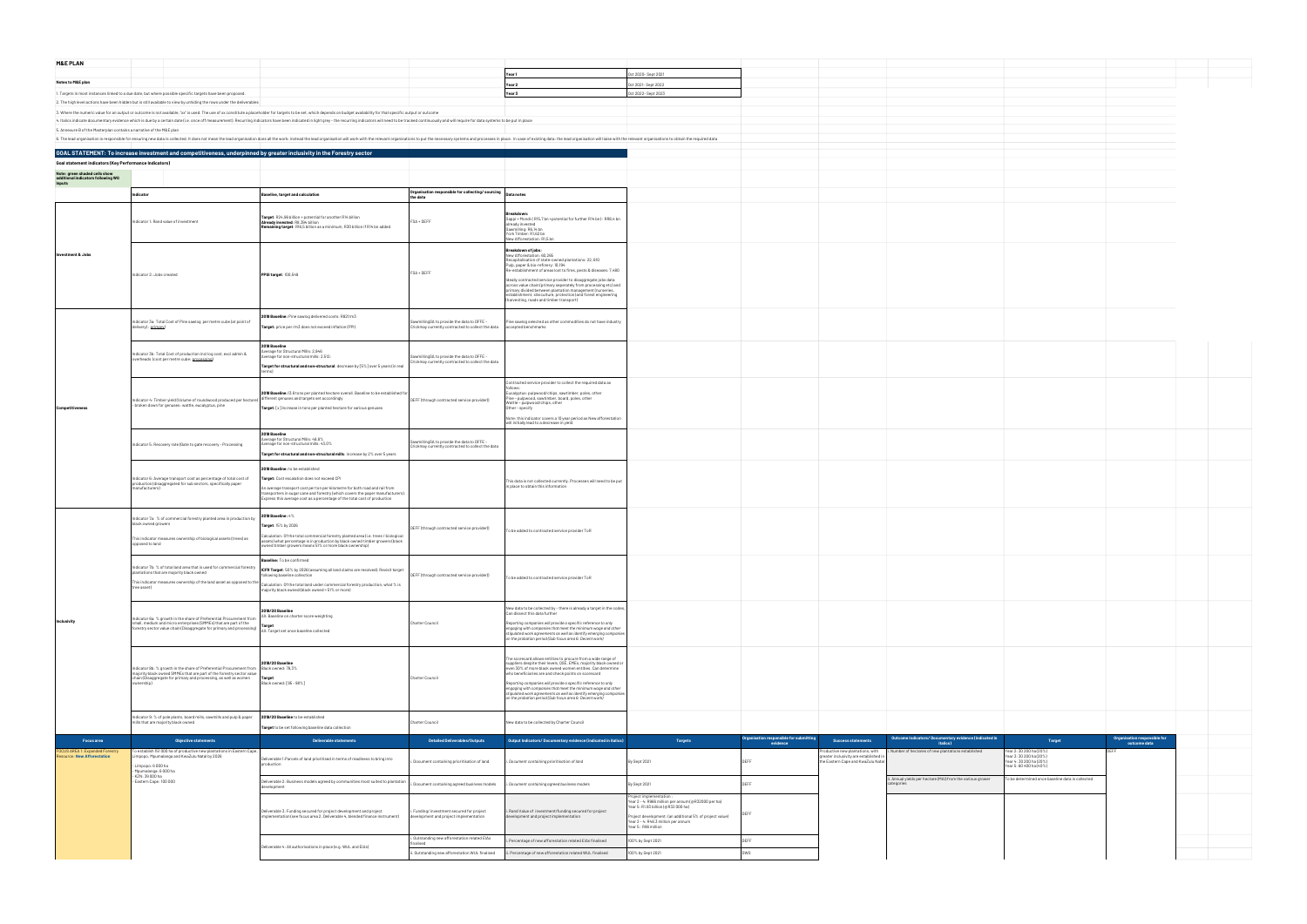| <b>M&amp;E PLAN</b>                                                  |                                                                                                                                                                                                                                                                 |                                                                                                                                                                                                                                                                                                                              |                                                                                                |                                                                                                                                                                                                                                                                                                                                                                                                                                                                                                                                |                                                                                                                                                                                                                                                  |                                                     |                                                                                                                |                                                                            |                                                                                                          |                                              |  |
|----------------------------------------------------------------------|-----------------------------------------------------------------------------------------------------------------------------------------------------------------------------------------------------------------------------------------------------------------|------------------------------------------------------------------------------------------------------------------------------------------------------------------------------------------------------------------------------------------------------------------------------------------------------------------------------|------------------------------------------------------------------------------------------------|--------------------------------------------------------------------------------------------------------------------------------------------------------------------------------------------------------------------------------------------------------------------------------------------------------------------------------------------------------------------------------------------------------------------------------------------------------------------------------------------------------------------------------|--------------------------------------------------------------------------------------------------------------------------------------------------------------------------------------------------------------------------------------------------|-----------------------------------------------------|----------------------------------------------------------------------------------------------------------------|----------------------------------------------------------------------------|----------------------------------------------------------------------------------------------------------|----------------------------------------------|--|
|                                                                      |                                                                                                                                                                                                                                                                 |                                                                                                                                                                                                                                                                                                                              |                                                                                                | Year1                                                                                                                                                                                                                                                                                                                                                                                                                                                                                                                          | Oct 2020- Sept 2021                                                                                                                                                                                                                              |                                                     |                                                                                                                |                                                                            |                                                                                                          |                                              |  |
| Notes to M&E plan                                                    |                                                                                                                                                                                                                                                                 |                                                                                                                                                                                                                                                                                                                              |                                                                                                | Year 2                                                                                                                                                                                                                                                                                                                                                                                                                                                                                                                         | Oct 2021- Sept 2022                                                                                                                                                                                                                              |                                                     |                                                                                                                |                                                                            |                                                                                                          |                                              |  |
|                                                                      | 1. Targets in most instances linked to a due date, but where possible specific targets have been proposed.                                                                                                                                                      |                                                                                                                                                                                                                                                                                                                              |                                                                                                | Year 3                                                                                                                                                                                                                                                                                                                                                                                                                                                                                                                         | Oct 2022-Sept 2023                                                                                                                                                                                                                               |                                                     |                                                                                                                |                                                                            |                                                                                                          |                                              |  |
|                                                                      | 2. The high level actions have been hidden but is still available to view by unhiding the rows under the deliverables                                                                                                                                           | 3. Where the numeric value for an output or outcome is not available, "xx" is used. The use of xx constitute a placeholder for targets to be set, which depends on budget availability for that specific output or outcome                                                                                                   |                                                                                                |                                                                                                                                                                                                                                                                                                                                                                                                                                                                                                                                |                                                                                                                                                                                                                                                  |                                                     |                                                                                                                |                                                                            |                                                                                                          |                                              |  |
|                                                                      |                                                                                                                                                                                                                                                                 | 4. Italics indicate documentary evidence which is due by a certain date (i.e. once off measurement). Recurring indicators have been indicated in light grey - the recurring indicators will need to be tracked continuously an                                                                                               |                                                                                                |                                                                                                                                                                                                                                                                                                                                                                                                                                                                                                                                |                                                                                                                                                                                                                                                  |                                                     |                                                                                                                |                                                                            |                                                                                                          |                                              |  |
| 5. Annexure B of the Masterplan contains a narrative of the M&E plan |                                                                                                                                                                                                                                                                 | B. The lead organisation is responsible for ensuring new data is collected. It does not mean the lead organisation does all the work; instead the lead organisation will work with the relevant organisations to put the neces                                                                                               |                                                                                                |                                                                                                                                                                                                                                                                                                                                                                                                                                                                                                                                |                                                                                                                                                                                                                                                  |                                                     |                                                                                                                |                                                                            |                                                                                                          |                                              |  |
|                                                                      |                                                                                                                                                                                                                                                                 |                                                                                                                                                                                                                                                                                                                              |                                                                                                |                                                                                                                                                                                                                                                                                                                                                                                                                                                                                                                                |                                                                                                                                                                                                                                                  |                                                     |                                                                                                                |                                                                            |                                                                                                          |                                              |  |
| Goal statement indicators (Key Performance Indicators)               | GOAL STATEMENT: To increase investment and competitiveness, underpinned by greater inclusivity in the Forestry sector                                                                                                                                           |                                                                                                                                                                                                                                                                                                                              |                                                                                                |                                                                                                                                                                                                                                                                                                                                                                                                                                                                                                                                |                                                                                                                                                                                                                                                  |                                                     |                                                                                                                |                                                                            |                                                                                                          |                                              |  |
| Note: green shaded cells show                                        |                                                                                                                                                                                                                                                                 |                                                                                                                                                                                                                                                                                                                              |                                                                                                |                                                                                                                                                                                                                                                                                                                                                                                                                                                                                                                                |                                                                                                                                                                                                                                                  |                                                     |                                                                                                                |                                                                            |                                                                                                          |                                              |  |
| additional indicators following WG<br>Inputs                         |                                                                                                                                                                                                                                                                 |                                                                                                                                                                                                                                                                                                                              |                                                                                                |                                                                                                                                                                                                                                                                                                                                                                                                                                                                                                                                |                                                                                                                                                                                                                                                  |                                                     |                                                                                                                |                                                                            |                                                                                                          |                                              |  |
|                                                                      | licator                                                                                                                                                                                                                                                         | laseline, target and calculation                                                                                                                                                                                                                                                                                             | Organisation responsible for collecting/ sourcing $\big _{\text{Data notes}}$<br>the data      |                                                                                                                                                                                                                                                                                                                                                                                                                                                                                                                                |                                                                                                                                                                                                                                                  |                                                     |                                                                                                                |                                                                            |                                                                                                          |                                              |  |
|                                                                      | Indicator 1: Rand value of investment                                                                                                                                                                                                                           | Target: R24,96 billion + potential for another R14 billion<br>Already invested: R8.394 billion<br>Remaining target: R16,5 billion as a minimum, R30 billion if R14 bn added                                                                                                                                                  | $FSA + DEF$                                                                                    | Breakdowi<br>Sappi + Mondi:(R15,7 bn +potential for further R14 bn) - RR8,4 bn<br>already invested<br>Sawmilling: R6,14 bn<br>York Timber: R1,62 bn<br>New Afforestation: R1,5 bn                                                                                                                                                                                                                                                                                                                                              |                                                                                                                                                                                                                                                  |                                                     |                                                                                                                |                                                                            |                                                                                                          |                                              |  |
| Investment & Jobs                                                    | Indicator 2: Jobs created                                                                                                                                                                                                                                       | <b>PPGI target: 100,549</b>                                                                                                                                                                                                                                                                                                  | $FSA + DEF$                                                                                    | Breakdown of jobs:<br>New Afforestation: 60,265<br>Recapitalisation of state-owned plantations: 22, 610<br>Pulp, paper & bio-refinery: 10,194<br>Re-establishment of areas lost to fires, pests & diseases: 7,480<br>deally contracted service provider to disaggregate jobs data<br>across value chain (primary seperately from processing etc) and<br>primary divided between plantation management (nurseries,<br>stablishment, silviculture, protection) and forest engineering<br>harvesting, roads and timber transport) |                                                                                                                                                                                                                                                  |                                                     |                                                                                                                |                                                                            |                                                                                                          |                                              |  |
|                                                                      | Indicator 3a: Total Cost of Pine sawlog per metre cube (at point of<br>delivery) : primary)                                                                                                                                                                     | 2019 Baseline: Pine sawlog delivered costs: R821/m3<br>Target: price per /m3 does not exceed inflation (PPI)                                                                                                                                                                                                                 | awmillingSA to provide the data to DFFE -<br>Crickmay currently contracted to collect the data | Pine sawlog selected as other commodities do not have industry<br>accepted benchmarks                                                                                                                                                                                                                                                                                                                                                                                                                                          |                                                                                                                                                                                                                                                  |                                                     |                                                                                                                |                                                                            |                                                                                                          |                                              |  |
|                                                                      | Indicator 3b: Total Cost of production incl log cost, excl admin &<br>overheads (cost per metre cube: processing)                                                                                                                                               | 2019 Baseline<br>verage for Structural Mills: 2,946<br>verage for non-structural mills: 2,512:<br>Target for structural and non-structural: decrease by [5%] over 5 years (in real                                                                                                                                           | SawmillingSA to provide the data to DFFE -<br>ickmay currently contracted to collect the data  |                                                                                                                                                                                                                                                                                                                                                                                                                                                                                                                                |                                                                                                                                                                                                                                                  |                                                     |                                                                                                                |                                                                            |                                                                                                          |                                              |  |
| Competit                                                             | ndicator 4: Timber yield (Volume of roundwood produced per hectare) different genuses and targets set accordingly<br>hashen days for accordingly<br>- broken down for genuses: wattle, eucalyptus, pine                                                         | 2018 Baseline: 13.8 tons per planted hectare overall. Baseline to be established fo<br>Target: [x] increase in tons per planted hectare for various genuses                                                                                                                                                                  | DEFF (through contracted service provider))                                                    | Contracted service provider to collect the required data as<br>Eucalyptus: pulpwood/chips, sawtimber, poles, other<br>Pine - pulpwood, sawtimber, board, poles, other<br>Wattle - pulpwood/chips, other<br>Other - specify<br>Note: this indicator covers a 10 year period as New afforestation<br>will initially lead to a decrease in yield                                                                                                                                                                                  |                                                                                                                                                                                                                                                  |                                                     |                                                                                                                |                                                                            |                                                                                                          |                                              |  |
|                                                                      | Indicator 5: Recovery rate (Gate to gate recovery - Processing                                                                                                                                                                                                  | 2019 Baseline<br>Verage for Structural Mills: 48.8%<br>verage for non-structural mills: 43.0%<br>Target for structural and non-structural mills: increase by 2% over 5 years                                                                                                                                                 | SawmillingSA to provide the data to DFFE -<br>ickmay currently contracted to collect the data  |                                                                                                                                                                                                                                                                                                                                                                                                                                                                                                                                |                                                                                                                                                                                                                                                  |                                                     |                                                                                                                |                                                                            |                                                                                                          |                                              |  |
|                                                                      | Indicator 6: Average transport cost as percentage of total cost of<br>production (disaggregated for sub sectors, specifically paper<br>manufacturers)                                                                                                           | 2019 Baseline: to be established<br>Target: Cost escalation does not exceed CPI<br>An average transport cost per ton per kilometre for both road and rail from<br>ansporters in sugar cane and forestry (which covers the paper manufacturers).<br>Express this average cost as a percentage of the total cost of production |                                                                                                | This data is not collected currently. Processes will need to be put<br>place to obtain this information                                                                                                                                                                                                                                                                                                                                                                                                                        |                                                                                                                                                                                                                                                  |                                                     |                                                                                                                |                                                                            |                                                                                                          |                                              |  |
|                                                                      | Indicator 7a: % of commercial forestry planted area in production by<br>black owned growers<br>This indicator measures ownership of biological assets (trees) as<br>osed to land                                                                                | 2019 Baseline: 4%<br>Target: 15% by 2026<br>Calculation: Of the total commercial forestry planted area (i.e. trees / biological<br>sets) what percentage is in production by black owned timber growers (black<br>wned timber growers means 51% or more black ownership)                                                     | DEFF (through contracted service provider))                                                    | To be added to contracted service provider ToR                                                                                                                                                                                                                                                                                                                                                                                                                                                                                 |                                                                                                                                                                                                                                                  |                                                     |                                                                                                                |                                                                            |                                                                                                          |                                              |  |
|                                                                      | Indicator 7b: % of total land area that is used for commercial forestry<br>plantations that are majority black owned<br>This indicator measures ownership of the land asset as opposed to the<br>tree asset)                                                    | Baseline: To be confirmed<br>ICFR Target: 50% by 2026 (assuming all land claims are resolved). Revisit target<br>lowing baseline collection<br>Calculation: Of the total land under commercial forestry production, what % is<br>majority black owned (black owned = 51% or more)                                            | DEFF (through contracted service provider))                                                    | To be added to contracted service provider ToR                                                                                                                                                                                                                                                                                                                                                                                                                                                                                 |                                                                                                                                                                                                                                                  |                                                     |                                                                                                                |                                                                            |                                                                                                          |                                              |  |
| Inclusivity                                                          | dicator 8a: % growth in the share of Preferential Procurement from<br>small, medium and micro enterprises (SMMEs) that are part of the<br>forestry sector value chain (Disaggregate for primary and processing)                                                 | 2019/20 Baseline<br>All: Baseline on charter score weighting<br>All: Target set once baseline collected                                                                                                                                                                                                                      | Charter Council                                                                                | New data to be collected by - there is already a target in the codes,<br>Can dissect this data further<br>Reporting companies will provide a specific reference to only<br>ngaging with companies that meet the minimum wage and other<br>tipulated work agreements as well as identify emerging companies<br>n the probation period (Sub focus area 6: Decent work)                                                                                                                                                           |                                                                                                                                                                                                                                                  |                                                     |                                                                                                                |                                                                            |                                                                                                          |                                              |  |
|                                                                      | dicator 8b: % growth in the share of Preferential Procurement from  Black owned: 78,3%<br>najority black owned SMMEs that are part of the forestry sector value<br>chain (Disaggregate for primary and processing, as well as women <b>Target</b><br>ownership) | 2019/20 Baseline<br>Black owned: [95 - 98%]                                                                                                                                                                                                                                                                                  | Charter Council                                                                                | The scorecard allows entities to procure from a wide range of<br>suppliers despite their levels, QSE, EMEs, majority black owned or<br>even 30% of more black owned women entities. Can determine<br>who beneficiaries are and check points on scorecard<br>Reporting companies will provide a specific reference to only<br>engaging with companies that meet the minimum wage and other<br>tipulated work agreements as well as identify emerging companies<br>on the probation period (Sub focus area 6: Decent work)       |                                                                                                                                                                                                                                                  |                                                     |                                                                                                                |                                                                            |                                                                                                          |                                              |  |
|                                                                      | dicator 9: % of pole plants, board mills, sawmills and pulp & paper<br>mills that are majority black owned                                                                                                                                                      | 2019/20 Baseline to be established                                                                                                                                                                                                                                                                                           | Charter Council                                                                                | New data to be collected by Charter Council                                                                                                                                                                                                                                                                                                                                                                                                                                                                                    |                                                                                                                                                                                                                                                  |                                                     |                                                                                                                |                                                                            |                                                                                                          |                                              |  |
|                                                                      |                                                                                                                                                                                                                                                                 | Target to be set following baseline data collection                                                                                                                                                                                                                                                                          |                                                                                                |                                                                                                                                                                                                                                                                                                                                                                                                                                                                                                                                |                                                                                                                                                                                                                                                  |                                                     |                                                                                                                |                                                                            |                                                                                                          |                                              |  |
| <b>Focus area</b>                                                    | <b>Objective statements</b>                                                                                                                                                                                                                                     | Deliverable statements                                                                                                                                                                                                                                                                                                       | Detailed Deliverables/Outputs                                                                  | Output Indicators/ Documentary evidence (indicated in italics)                                                                                                                                                                                                                                                                                                                                                                                                                                                                 | <b>Targets</b>                                                                                                                                                                                                                                   | Organisation responsible for submitting<br>evidence | Success statements                                                                                             | Outcome indicators/ Documentary evidence (indicated in<br><i>italics</i> ) | Target                                                                                                   | Organisation responsible for<br>outcome data |  |
| OCUS AREA 1: Expanded Forestry<br>esource: New Afforestation         | To establish 151 000 ha of productive new plantations in Eastern Cape,<br>impopo, Mpumalanga and KwaZulu Natal by 2026.<br>- Limpopo: 6 000 ha<br>Mpumalanga: 6 000 ha                                                                                          | Deliverable 1: Parcels of land prioritised in terms of readiness to bring into<br>production                                                                                                                                                                                                                                 | Document containing prioritisation of land                                                     | . Document containing prioritisation of land                                                                                                                                                                                                                                                                                                                                                                                                                                                                                   | By Sept 2021                                                                                                                                                                                                                                     |                                                     | oductive new plantations, with<br>greater inclusivity are established ir<br>the Eastern Cape and KwaZulu Natal | Number of hectares of new plantations established                          | Year 2: 30 200 ha (20%)<br>Year 3: 30 200 ha (20%)<br>Year 4: 30 200 ha (20%)<br>Year 5: 60 400 ha (40%) |                                              |  |
|                                                                      | - KZN: 39 000 ha<br>- Eastern Cape: 100 000                                                                                                                                                                                                                     | Deliverable 2: Business models agreed by communities most suited to plantation                                                                                                                                                                                                                                               | Document containing agreed business models                                                     | Document containing agreed business models                                                                                                                                                                                                                                                                                                                                                                                                                                                                                     | By Sept 2021                                                                                                                                                                                                                                     | <b>DEEE</b>                                         |                                                                                                                | ii. Annual yields per hectare (MAI) from the various grower<br>categories  | To be determined once baseline data is collected                                                         |                                              |  |
|                                                                      |                                                                                                                                                                                                                                                                 | evelopment                                                                                                                                                                                                                                                                                                                   |                                                                                                |                                                                                                                                                                                                                                                                                                                                                                                                                                                                                                                                |                                                                                                                                                                                                                                                  |                                                     |                                                                                                                |                                                                            |                                                                                                          |                                              |  |
|                                                                      |                                                                                                                                                                                                                                                                 | Deliverable 3: Funding secured for project development and project<br>mplementation (see focus area 2, Deliverable 4, blended finance instrument)                                                                                                                                                                            | . Funding/ investment secured for project<br>levelopment and project implementation            | . Rand Value of investment/funding secured for project<br>development and project implementation                                                                                                                                                                                                                                                                                                                                                                                                                               | Project implementation :<br>Year 2 - 4: R966 million per annum (@R32000 per ha)<br>Year 5: R1.93 billion (@R32 000 ha)<br>Project development: (an additional 5% of project value)<br>Year 2 - 4: R48.3 million per annum<br>Year 5: R96 million |                                                     |                                                                                                                |                                                                            |                                                                                                          |                                              |  |
|                                                                      |                                                                                                                                                                                                                                                                 |                                                                                                                                                                                                                                                                                                                              | Outstanding new afforestation related EIAs<br>finalised                                        | Percentage of new afforestation related EIAs finalised                                                                                                                                                                                                                                                                                                                                                                                                                                                                         | 100% by Sept 2021                                                                                                                                                                                                                                |                                                     |                                                                                                                |                                                                            |                                                                                                          |                                              |  |
|                                                                      |                                                                                                                                                                                                                                                                 | Deliverable 4: All authorisations in place (e.g. WUL and EIAs)                                                                                                                                                                                                                                                               | . Outstanding new afforestation WUL finalised                                                  | i. Percentage of new afforestation related WUL finalised                                                                                                                                                                                                                                                                                                                                                                                                                                                                       | 100% by Sept 2021                                                                                                                                                                                                                                |                                                     |                                                                                                                |                                                                            |                                                                                                          |                                              |  |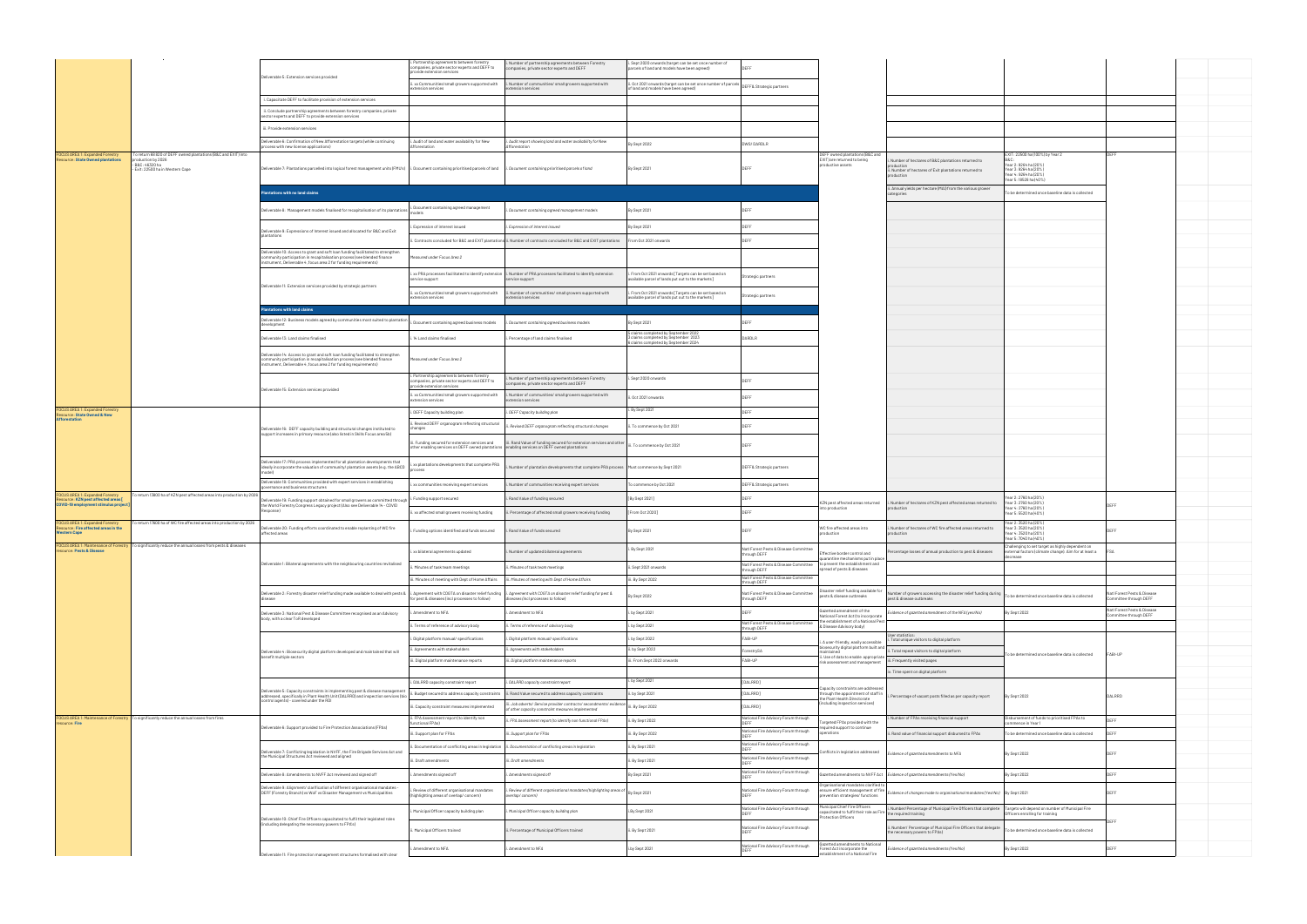|                                                                                    |                                                                                                                                           |                                                                                                                                                                                                                                | i. Partnership agreements between forestry<br>ompanies, private sector experts and DEFF to<br>provide extension services | . Number of partnership agreements between Forestry<br>mpanies, private sector experts and DEFF                                    | Sept 2020 onwards (target can be set once number of<br>parcels of land and models have been agreed)            |                                                                                          |                                                                                                 |                                                                                                                          |                                                                                                                                      |                                                      |  |
|------------------------------------------------------------------------------------|-------------------------------------------------------------------------------------------------------------------------------------------|--------------------------------------------------------------------------------------------------------------------------------------------------------------------------------------------------------------------------------|--------------------------------------------------------------------------------------------------------------------------|------------------------------------------------------------------------------------------------------------------------------------|----------------------------------------------------------------------------------------------------------------|------------------------------------------------------------------------------------------|-------------------------------------------------------------------------------------------------|--------------------------------------------------------------------------------------------------------------------------|--------------------------------------------------------------------------------------------------------------------------------------|------------------------------------------------------|--|
|                                                                                    |                                                                                                                                           | Deliverable 5: Extension services provided                                                                                                                                                                                     | i. xx Communities/small growers supported with                                                                           | i. Number of communities/ small growers supported with                                                                             | . Oct 2021 onwards (target can be set once number of parcels   DEFF& Strategic partners                        |                                                                                          |                                                                                                 |                                                                                                                          |                                                                                                                                      |                                                      |  |
|                                                                                    |                                                                                                                                           | Capacitate DEFF to facilitate provision of extension services                                                                                                                                                                  | extension services                                                                                                       | extension services                                                                                                                 | of land and models have been agreed)                                                                           |                                                                                          |                                                                                                 |                                                                                                                          |                                                                                                                                      |                                                      |  |
|                                                                                    |                                                                                                                                           | ii. Conclude partnership agreements between forestry companies, private                                                                                                                                                        |                                                                                                                          |                                                                                                                                    |                                                                                                                |                                                                                          |                                                                                                 |                                                                                                                          |                                                                                                                                      |                                                      |  |
|                                                                                    |                                                                                                                                           | ector experts and DEFF to provide extension services                                                                                                                                                                           |                                                                                                                          |                                                                                                                                    |                                                                                                                |                                                                                          |                                                                                                 |                                                                                                                          |                                                                                                                                      |                                                      |  |
|                                                                                    |                                                                                                                                           | iii. Provide extension services                                                                                                                                                                                                |                                                                                                                          |                                                                                                                                    |                                                                                                                |                                                                                          |                                                                                                 |                                                                                                                          |                                                                                                                                      |                                                      |  |
|                                                                                    |                                                                                                                                           | Deliverable 6: Confirmation of New Afforestation targets (while continuing<br>rocess with new license applications)                                                                                                            | . Audit of land and water availability for New<br>dforestation                                                           | . Audit report showing land and water availability for New<br>fforestation                                                         | By Sept 2022                                                                                                   | DWS/DARDLR                                                                               |                                                                                                 |                                                                                                                          |                                                                                                                                      |                                                      |  |
| <b>FOCUS AREA 1: Expanded Forestry</b><br><b>Resource: State Owned plantations</b> | To return 68 820 of DEFF owned plantations (B&C and EXIT) into<br>oduction by 2026<br>- B&C: 46320 ha<br>- Exit: 22500 ha in Western Cape | Deliverable 7: Plantations parcelled into logical forest management units (FMU's)  i. Document containing prioritised parcels of land                                                                                          |                                                                                                                          | i. Document containing prioritised parcels of land                                                                                 | By Sept 2021                                                                                                   | <b>DEEF</b>                                                                              | DEFF owned plantations (B&C and<br>EXIT) are returned to being<br>productive assets             | Number of hectares of B&C plantations returned to<br>ii. Number of hectares of Exit plantations returned to<br>roduction | EXIT: 22500 ha (100%) by Year 2<br>Year 2: 9264 ha (20%)<br>Year 3: 9264 ha (20%)<br>Year 4: 9264 ha (20%)<br>Year 5: 18528 ha (40%) | DEFF                                                 |  |
|                                                                                    |                                                                                                                                           | tations with no land claims                                                                                                                                                                                                    |                                                                                                                          |                                                                                                                                    |                                                                                                                |                                                                                          |                                                                                                 | i. Annual yields per hectare (MAI) from the various grower                                                               | o be determined once baseline data is collected                                                                                      |                                                      |  |
|                                                                                    |                                                                                                                                           |                                                                                                                                                                                                                                | . Document containing agreed management                                                                                  |                                                                                                                                    |                                                                                                                |                                                                                          |                                                                                                 |                                                                                                                          |                                                                                                                                      |                                                      |  |
|                                                                                    |                                                                                                                                           | Deliverable 8: Management models finalised for recapitalisation of its plantations                                                                                                                                             |                                                                                                                          | Document containing agreed management models                                                                                       | By Sept 2021                                                                                                   | <b>DEEE</b>                                                                              |                                                                                                 |                                                                                                                          |                                                                                                                                      |                                                      |  |
|                                                                                    |                                                                                                                                           | Deliverable 9: Expressions of Interest issued and allocated for B&C and Exit                                                                                                                                                   | Expression of interest issued                                                                                            | . Expression of interest issued                                                                                                    | By Sept 2021                                                                                                   | <b>DEFF</b>                                                                              |                                                                                                 |                                                                                                                          |                                                                                                                                      |                                                      |  |
|                                                                                    |                                                                                                                                           | plantations                                                                                                                                                                                                                    |                                                                                                                          | ii. Contracts concluded for B&C and EXIT plantations ii. Number of contracts concluded for B&C and EXIT plantations                | From Oct 2021 onwards                                                                                          | <b>DEFF</b>                                                                              |                                                                                                 |                                                                                                                          |                                                                                                                                      |                                                      |  |
|                                                                                    |                                                                                                                                           | Deliverable 10: Access to grant and soft loan funding facilitated to strengthen<br>mmunity participation in recapitalisation process (see blended finance<br>strument, Deliverable 4 , focus area 2 for funding requirements)  | asured under Focus Area 2                                                                                                |                                                                                                                                    |                                                                                                                |                                                                                          |                                                                                                 |                                                                                                                          |                                                                                                                                      |                                                      |  |
|                                                                                    |                                                                                                                                           |                                                                                                                                                                                                                                | service support                                                                                                          | xx PRA processes facilitated to identify extension i. Number of PRA processes facilitated to identify extension<br>service support | From Oct 2021 onwards [Targets can be set based on<br>available parcel of lands put out to the markets]        | trategic partners                                                                        |                                                                                                 |                                                                                                                          |                                                                                                                                      |                                                      |  |
|                                                                                    |                                                                                                                                           | Deliverable 11: Extension services provided by strategic partners                                                                                                                                                              | i. xx Communities/small growers supported with                                                                           | ii. Number of communities/ small growers supported with                                                                            | . From Oct 2021 onwards [Targets can be set based on                                                           |                                                                                          |                                                                                                 |                                                                                                                          |                                                                                                                                      |                                                      |  |
|                                                                                    |                                                                                                                                           |                                                                                                                                                                                                                                | extension services                                                                                                       | extension services                                                                                                                 | available parcel of lands put out to the markets]                                                              | trategic partners                                                                        |                                                                                                 |                                                                                                                          |                                                                                                                                      |                                                      |  |
|                                                                                    |                                                                                                                                           | antations with land claims                                                                                                                                                                                                     |                                                                                                                          |                                                                                                                                    |                                                                                                                |                                                                                          |                                                                                                 |                                                                                                                          |                                                                                                                                      |                                                      |  |
|                                                                                    |                                                                                                                                           | eliverable 12: Business models agreed by communities most suited to plantation<br>levelopment                                                                                                                                  | Document containing agreed business models                                                                               | Oocument containing agreed business models                                                                                         | By Sept 2021                                                                                                   | <b>DEEF</b>                                                                              |                                                                                                 |                                                                                                                          |                                                                                                                                      |                                                      |  |
|                                                                                    |                                                                                                                                           | Deliverable 13: Land claims finalised                                                                                                                                                                                          | .14 Land claims finalised                                                                                                | . Percentage of land claims finalised                                                                                              | claims completed by September 2022<br>claims completed by September 2023<br>claims completed by September 2024 | DARDLR                                                                                   |                                                                                                 |                                                                                                                          |                                                                                                                                      |                                                      |  |
|                                                                                    |                                                                                                                                           | Jeliverable 14: Access to grant and soft loan funding facilitated to strengthen<br>nmunity participation in recapitalisation process (see blended finance<br>nstrument, Deliverable 4 , focus area 2 for funding requirements) | Measured under Focus Area 2                                                                                              |                                                                                                                                    |                                                                                                                |                                                                                          |                                                                                                 |                                                                                                                          |                                                                                                                                      |                                                      |  |
|                                                                                    |                                                                                                                                           | Jeliverable 15: Extension services provided                                                                                                                                                                                    | i. Partnership agreements between forestry<br>companies, private sector experts and DEFF to<br>rovide extension services | . Number of partnership agreements between Forestry<br>ompanies, private sector experts and DEFF                                   | Sept 2020 onwards                                                                                              | DEEE                                                                                     |                                                                                                 |                                                                                                                          |                                                                                                                                      |                                                      |  |
|                                                                                    |                                                                                                                                           |                                                                                                                                                                                                                                | ii. xx Communities/small growers supported with<br>extension services                                                    | i. Number of communities/ small growers supported with<br>extension services                                                       | i. Oct 2021 onwards                                                                                            | <b>DEFF</b>                                                                              |                                                                                                 |                                                                                                                          |                                                                                                                                      |                                                      |  |
| FOCUS AREA 1: Expanded Forestry<br><b>Resource: State Owned &amp; New</b>          |                                                                                                                                           |                                                                                                                                                                                                                                | . DEFF Capacity building plan                                                                                            | . DEFF Capacity building plan                                                                                                      | i. By Sept 2021                                                                                                | <b>DEEE</b>                                                                              |                                                                                                 |                                                                                                                          |                                                                                                                                      |                                                      |  |
| <b>Afforestation</b>                                                               |                                                                                                                                           | Deliverable 16: DEFF capacity building and structural changes instituted to                                                                                                                                                    | Revised DEFF organogram reflecting structural<br>anges                                                                   | Revised DEFF organogram reflecting structural changes                                                                              | . To commence by Oct 2021                                                                                      | DEFF                                                                                     |                                                                                                 |                                                                                                                          |                                                                                                                                      |                                                      |  |
|                                                                                    |                                                                                                                                           | upport increases in primary resource (also listed in Skills Focus area 5b)                                                                                                                                                     | i. Funding secured for extension services and<br>other enabling services on DEFF owned plantations                       | ii. Rand Value of funding secured for extension services and other<br>enabling services on DEFF owned plantations                  | iii. To commence by Oct 2021                                                                                   | <b>DEEF</b>                                                                              |                                                                                                 |                                                                                                                          |                                                                                                                                      |                                                      |  |
|                                                                                    |                                                                                                                                           | Jeliverable 17: PRA process implemented for all plantation developments that<br>deally incorporate the valuation of community/ plantation assets (e.g. the ABCD                                                                | xx plantations developments that complete PRA                                                                            | Number of plantation developments that complete PRA process   Must commence by Sept 2021                                           |                                                                                                                | DEFF& Strategic partners                                                                 |                                                                                                 |                                                                                                                          |                                                                                                                                      |                                                      |  |
|                                                                                    |                                                                                                                                           | leliverable 18: Communities provided with expert services in establishing<br>ernance and business structures                                                                                                                   | xx communities receiving expert services                                                                                 | . Number of communities receiving expert services                                                                                  | o commence by Oct 2021                                                                                         | DEFF& Strategic partners                                                                 |                                                                                                 |                                                                                                                          |                                                                                                                                      |                                                      |  |
| FOCUS AREA 1: Expanded Forestry<br>Resource: KZN pest affected areas [             | o return 13800 ha of KZN pest affected areas into production by 2026                                                                      | eliverable 19: Funding support obtained for small growers as committed througl                                                                                                                                                 | Funding support secured                                                                                                  | . Rand Value of funding secured                                                                                                    | [By Sept 2021]                                                                                                 |                                                                                          |                                                                                                 |                                                                                                                          | ear 2: 2760 ha (20%)                                                                                                                 |                                                      |  |
| COVID-19 employment stimulus project]                                              |                                                                                                                                           | the World Forestry Congress Legacy project (Also see Deliverable 14 - COVID                                                                                                                                                    | xx affected small growers receiving funding                                                                              | i. Percentage of affected small growers receiving funding                                                                          | From Oct 2020]                                                                                                 | DEEE                                                                                     | KZN pest affected areas returned<br>hto production                                              | . Number of hectares of KZN pest affected areas returned to                                                              | Year 3: 2760 ha (20%)<br>Year 4: 2760 ha (20%)<br>Year 5: 5520 ha (40%)                                                              | DEFF                                                 |  |
| FOCUS AREA 1: Expanded Forestry<br>Resource: Fire affected areas in the            | To return 17600 ha of WC fire affected areas into production by 2026                                                                      |                                                                                                                                                                                                                                |                                                                                                                          |                                                                                                                                    |                                                                                                                |                                                                                          | WC fire affected areas into                                                                     | Number of hectares of WC fire affected areas returned to                                                                 | (ear 2: 3520 ha (20%)<br>Year 3: 3520 ha (20%)                                                                                       |                                                      |  |
| <b>Western Cape</b>                                                                | FOCUS AREA 1: Maintenance of Forestry To significantly reduce the annual losses from pests & diseases                                     | liverable 20: Funding efforts coordinated to enable replanting of WC fire<br>affected areas                                                                                                                                    | Funding options identified and funds secured                                                                             | i. Rand Value of funds secured                                                                                                     | By Sept 2021                                                                                                   | DEFF                                                                                     | oroduction                                                                                      | oduction                                                                                                                 | Year 4: 3520 ha (20%)<br>Year 5: 7040 ha (40%)                                                                                       | DEFF                                                 |  |
| resource: Pests & Disease                                                          |                                                                                                                                           |                                                                                                                                                                                                                                | i. xx bilateral agreements updated                                                                                       | i. Number of updated bilateral agreements                                                                                          | i. By Sept 2021                                                                                                | Natl Forest Pests & Disease Comm<br>through DEFF                                         | Effective border control and<br>quarantine mechanisms put in place                              | ercentage losses of annual production to pest & diseases                                                                 | external factors (climate change). Aim for at least a<br>decrease                                                                    | <b>FSA</b>                                           |  |
|                                                                                    |                                                                                                                                           | Deliverable 1: Bilateral agreements with the neighbouring countries revitalised                                                                                                                                                | Minutes of task team meetings                                                                                            | . Minutes of task team meetings                                                                                                    | Sept 2021 onwards                                                                                              | Natl Forest Pests & Disease Committee   to prevent the establishment and<br>through DEFF | spread of pests & diseases                                                                      |                                                                                                                          |                                                                                                                                      |                                                      |  |
|                                                                                    |                                                                                                                                           |                                                                                                                                                                                                                                | . Minutes of meeting with Dept of Home Affairs                                                                           | . Minutes of meeting with Dept of Home Affairs                                                                                     | ii. By Sept 2022                                                                                               | Natl Forest Pests & Disease Committee<br>hrough DEFF                                     |                                                                                                 |                                                                                                                          |                                                                                                                                      |                                                      |  |
|                                                                                    |                                                                                                                                           | ) leliverable 2: Forestry disaster relief funding made available to deal with pests &  i. Agreement with COGTA on disaster relief funding                                                                                      | for pest & diseases (incl processes to follow)                                                                           | i. Agreement with COGTA on disaster relief funding for pest &<br>fiseases (incl processes to follow)                               | By Sept 2022                                                                                                   | Natl Forest Pests & Disease Committee<br>through DEFF                                    | isaster relief funding available for<br>pests & disease outbreaks                               | mber of growers accessing the disaster relief funding during<br>pest & disease outbreaks                                 | To be determined once baseline data is collected                                                                                     | atl Forest Pests & Disease<br>ommittee through DEFF  |  |
|                                                                                    |                                                                                                                                           | Jeliverable 3: National Pest & Disease Committee recognised as an Advisory                                                                                                                                                     | Amendment to NFA                                                                                                         | Amendment to NFA                                                                                                                   | by Sept 2021                                                                                                   |                                                                                          | Gazetted amendment of the<br>National Forest Act (to incorpo                                    | dence of gazetted amendment of the NFA (yes/No)                                                                          | By Sept 2022                                                                                                                         | Natl Forest Pests & Disease<br>ommittee through DEFF |  |
|                                                                                    |                                                                                                                                           | body, with a clear ToR developed                                                                                                                                                                                               | Terms of reference of advisory bod                                                                                       | Terms of reference of advisory body                                                                                                | by Sept 2021                                                                                                   | Natl Forest Pests & Disease Committee<br>hrough DEFF                                     | the establishment of a National Pes<br>& Disease Advisory body)                                 |                                                                                                                          |                                                                                                                                      |                                                      |  |
|                                                                                    |                                                                                                                                           |                                                                                                                                                                                                                                | . Digital platform manual/ specifications                                                                                | Digital platform manual/ specifications                                                                                            | by Sept 2022                                                                                                   | FABI-UP                                                                                  | i. A user-friendly, easily accessible                                                           | User statistics:<br>Total unique visitors to digital platform                                                            |                                                                                                                                      |                                                      |  |
|                                                                                    |                                                                                                                                           | Deliverable 4: Biosecurity digital platform developed and maintained that will<br>benefit multiple sectors                                                                                                                     | . Agreements with stakeholders                                                                                           | i. Agreements with stakeholders                                                                                                    | ii. by Sept 2022                                                                                               | ForestrySA                                                                               | biosecurity digital platform built and<br>maintained                                            | . Total repeat visitors to digital platform                                                                              | To be determined once baseline data is collected                                                                                     | FABI-UP                                              |  |
|                                                                                    |                                                                                                                                           |                                                                                                                                                                                                                                | ii. Digital platform maintenance reports                                                                                 | ii. Digital platform maintenance reports                                                                                           | iii. From Sept 2022 onwards                                                                                    | FABI-UP                                                                                  | . Use of data to enable appropriate<br>risk assessment and management                           | iii. Frequently visited pages                                                                                            |                                                                                                                                      |                                                      |  |
|                                                                                    |                                                                                                                                           |                                                                                                                                                                                                                                | i. DALRRD capacity constraint report                                                                                     | i. DALRRD capacity constraint report                                                                                               | i. by Sept 2021                                                                                                | [DALRRD]                                                                                 |                                                                                                 | . Time spent on digital platform                                                                                         |                                                                                                                                      |                                                      |  |
|                                                                                    |                                                                                                                                           | Deliverable 5: Capacity constraints in implementing pest & disease management<br>addressed, specifically in Plant Health Unit (DALRRD) and inspection services (bio                                                            |                                                                                                                          | ii. Budget secured to address capacity constraints ii. Rand Value secured to address capacity constraints                          | ii. by Sept 2021                                                                                               | [DALRRD]                                                                                 | Capacity constraints are addresse<br>through the appointment of staff in                        | Percentage of vacant posts filled as per capacity report                                                                 | By Sept 2022                                                                                                                         | DALRRD                                               |  |
|                                                                                    |                                                                                                                                           | ontrol agents) - covered under the RDI                                                                                                                                                                                         | i. Capacity constraint measures implemented                                                                              | i, Job adverts/ Service provider contracts/ secondments/ evic                                                                      | ii. By Sept 2022                                                                                               | [DALRRD]                                                                                 | the Plant Health Directorate<br>(including inspection services)                                 |                                                                                                                          |                                                                                                                                      |                                                      |  |
|                                                                                    | FOCUS AREA 1: Maintenance of Forestry To significantly reduce the annual losses from fires                                                |                                                                                                                                                                                                                                | ii. FPA Assessment report (to identify non                                                                               | of other capacity constraint measures implemented<br>ii. FPA Assessment report (to identify non functional FPAs)                   | ii. By Sept 2022                                                                                               | National Fire Advisory Forum through                                                     | Targeted FPAs provided with the                                                                 | Number of FPAs receiving financial support                                                                               | Disbursement of funds to prioritised FPAs to                                                                                         | DEEE                                                 |  |
| resource: Fire                                                                     |                                                                                                                                           | Deliverable 6: Support provided to Fire Protection Associations (FPAs)                                                                                                                                                         | unctional FPAs)<br>Support plan for FPAs                                                                                 | ii. Support plan for FPAs                                                                                                          | iii. By Sept 2022                                                                                              | <b>DEEE</b><br>National Fire Advisory Forum through<br><b>DEEE</b>                       | equired support to continue<br>operations                                                       | . Rand value of financial support disbursed to FPAs                                                                      | mmence in Year 1<br>To be determined once baseline data is collected                                                                 | DEFF                                                 |  |
|                                                                                    |                                                                                                                                           |                                                                                                                                                                                                                                |                                                                                                                          | Documentation of conflicting areas in legislation iii. Documentation of conflicting areas in legislation                           | ii. By Sept 2021                                                                                               | National Fire Advisory Forum through<br><b>DEEE</b>                                      |                                                                                                 |                                                                                                                          |                                                                                                                                      |                                                      |  |
|                                                                                    |                                                                                                                                           | leliverable 7: Conflicting legislation in NVFF, the Fire Brigade Services Act and<br>the Municipal Structures Act reviewed and aligned                                                                                         | ii. Draft amendments                                                                                                     | iii. Draft amendments                                                                                                              | ii. By Sept 2021                                                                                               | National Fire Advisory Forum through                                                     | onflicts in legislation addressed                                                               | vidence of qazetted amendments to NFA                                                                                    | By Sept 2022                                                                                                                         | DEEE                                                 |  |
|                                                                                    |                                                                                                                                           |                                                                                                                                                                                                                                |                                                                                                                          |                                                                                                                                    |                                                                                                                | National Fire Advisory Forum through                                                     | azetted amendments to NVFF Act                                                                  |                                                                                                                          |                                                                                                                                      | DEEE                                                 |  |
|                                                                                    |                                                                                                                                           | Deliverable 8: Amendments to NVFF Act reviewed and signed off<br>- leliverable 9: Alignment/ clarification of different organisational mandates                                                                                | Amendments signed off                                                                                                    | . Amendments signed off                                                                                                            | By Sept 2021                                                                                                   |                                                                                          | Organisational mandates clarified to                                                            | Evidence of gazetted amendments (Yes/No)                                                                                 | By Sept 2022                                                                                                                         |                                                      |  |
|                                                                                    |                                                                                                                                           | DEFF (Forestry Branch) vs WoF vs Disaster Management vs Municipalities                                                                                                                                                         | Review of different organisational mandates<br>highlighting areas of overlap/ concern)                                   | . Review of different organisational mandates (highlighting areas of<br>overlap/ concern)                                          | By Sept 2021                                                                                                   | National Fire Advisory Forum through                                                     | evention strategies/ functions                                                                  | ensure efficient management of fire Evidence of changes made to organisational mandates (Yes/No) By Sept 2021            |                                                                                                                                      | DEFF                                                 |  |
|                                                                                    |                                                                                                                                           |                                                                                                                                                                                                                                | Municipal Officer capacity building plan                                                                                 | Municipal Officer capacity building plan                                                                                           | i.By Sept 2021                                                                                                 | National Fire Advisory Forum through                                                     | Municipal Chief Fire Officers<br>capacitated to fulfil their role as Fire the required training | i. Number/Percentage of Municipal Fire Officers that complete Targets will depend on number of Municipal Fire            | Officers enrolling for training                                                                                                      |                                                      |  |
|                                                                                    |                                                                                                                                           | Deliverable 10: Chief Fire Officers capacitated to fulfil their legislated roles<br>(including delegating the necessary powers to FPA's)                                                                                       |                                                                                                                          |                                                                                                                                    |                                                                                                                | National Fire Advisory Forum through                                                     | otection Officers                                                                               | Number/ Percentage of Municipal Fire Officers that delegate                                                              |                                                                                                                                      |                                                      |  |
|                                                                                    |                                                                                                                                           |                                                                                                                                                                                                                                | Municipal Officers trained                                                                                               | . Percentage of Municipal Officers trained                                                                                         | ii. By Sept 2021                                                                                               |                                                                                          | Gazetted amendments to National                                                                 | the necessary powers to FPAs)                                                                                            | o be determined once baseline data is collected                                                                                      |                                                      |  |
|                                                                                    |                                                                                                                                           | Deliverable 11: Fire protection management structures formalised with clear                                                                                                                                                    | . Amendment to NFA                                                                                                       | Amendment to NFA                                                                                                                   | i.by Sept 2021                                                                                                 | National Fire Advisory Forum through                                                     | Forest Act incorporate the<br>stablishment of a National Fire                                   | vidence of gazetted amendments (Yes/No)                                                                                  | By Sept 2022                                                                                                                         |                                                      |  |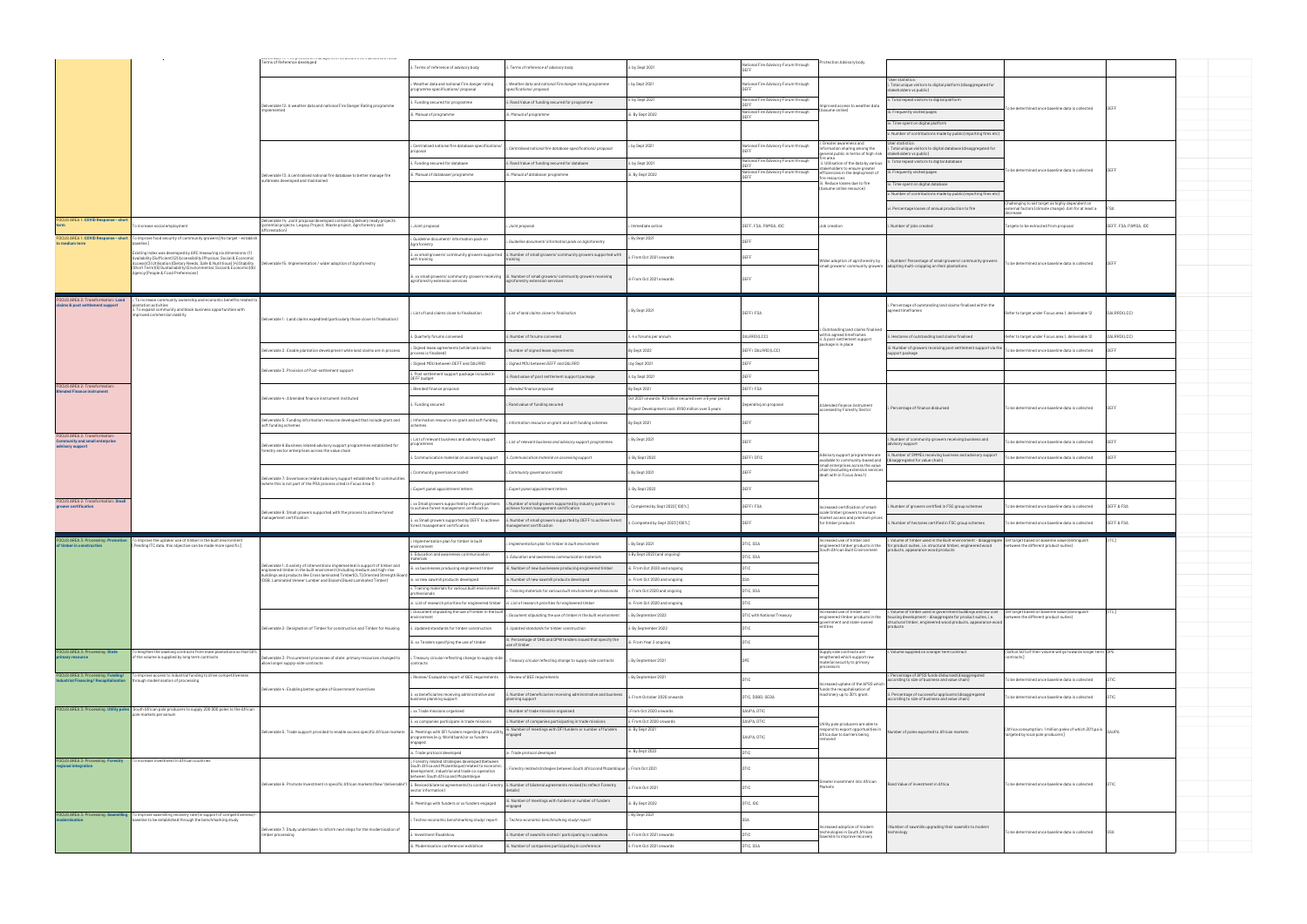|                                                                    |                                                                                                                                                                                                                          | Terms of Reference developed                                                                                                                                                                              | Terms of reference of advisory body                                                                                                                                                       | Terms of reference of advisory body                                                                                                                                             | . by Sept 2021                                                | Vational Fire Advisory Forum through                | rotection Advisory body                                                                                  |                                                                                                                                                                                |                                                                                                    |                       |  |
|--------------------------------------------------------------------|--------------------------------------------------------------------------------------------------------------------------------------------------------------------------------------------------------------------------|-----------------------------------------------------------------------------------------------------------------------------------------------------------------------------------------------------------|-------------------------------------------------------------------------------------------------------------------------------------------------------------------------------------------|---------------------------------------------------------------------------------------------------------------------------------------------------------------------------------|---------------------------------------------------------------|-----------------------------------------------------|----------------------------------------------------------------------------------------------------------|--------------------------------------------------------------------------------------------------------------------------------------------------------------------------------|----------------------------------------------------------------------------------------------------|-----------------------|--|
|                                                                    |                                                                                                                                                                                                                          |                                                                                                                                                                                                           | Weather data and national Fire danger rating<br>rogramme specifications/ proposal                                                                                                         | . Weather data and national Fire danger rating programme<br>pecifications/ proposal                                                                                             | . by Sept 2021                                                | lational Fire Advisory Forum through                |                                                                                                          | "User statistics:<br>. Total unique visitors to digital platform (disaggregated for                                                                                            |                                                                                                    |                       |  |
|                                                                    |                                                                                                                                                                                                                          |                                                                                                                                                                                                           | Funding secured for programme                                                                                                                                                             |                                                                                                                                                                                 | ii. by Sept 2021                                              | National Fire Advisory Forum through                |                                                                                                          | (akeholders vs public<br>i. Total repeat visitors to digital platform                                                                                                          |                                                                                                    |                       |  |
|                                                                    |                                                                                                                                                                                                                          | Deliverable 12: A weather data and national Fire Danger Rating programme<br>plemented                                                                                                                     | i. Manual of programme                                                                                                                                                                    | i. Rand Value of funding secured for programme<br>iii. Manual of programme                                                                                                      | iii. By Sept 2022                                             | <b>DEEE</b><br>ational Fire Advisory Forum through  | mproved access to weather data<br>sume online)                                                           | i. Frequently visited pages                                                                                                                                                    | To be determined once baseline data is collected                                                   |                       |  |
|                                                                    |                                                                                                                                                                                                                          |                                                                                                                                                                                                           |                                                                                                                                                                                           |                                                                                                                                                                                 |                                                               | <b>DEEE</b>                                         |                                                                                                          | v. Time spent on digital platform                                                                                                                                              |                                                                                                    |                       |  |
|                                                                    |                                                                                                                                                                                                                          |                                                                                                                                                                                                           |                                                                                                                                                                                           |                                                                                                                                                                                 |                                                               |                                                     | . Greater awareness and                                                                                  | . Number of contributions made by public (reporting fires etc)<br>ser statistics:                                                                                              |                                                                                                    |                       |  |
|                                                                    |                                                                                                                                                                                                                          |                                                                                                                                                                                                           | Centralised national fire database specifications/                                                                                                                                        | Centralised national fire database specifications/ proposal                                                                                                                     | i. by Sept 2021                                               | Vational Fire Advisory Forum through                | formation sharing among the<br>neral public in terms of high-risk                                        | Total unique visitors to digital database (disaggregated for<br>stakeholders vs public)                                                                                        |                                                                                                    |                       |  |
|                                                                    |                                                                                                                                                                                                                          |                                                                                                                                                                                                           | Funding secured for database                                                                                                                                                              | . Rand Value of funding secured for database                                                                                                                                    | . by Sept 2021                                                | lational Fire Advisory Forum through<br><b>DEFF</b> | i. Utilisation of the data by various<br>keholders to ensure greater                                     | . Total repeat visitors to digital database                                                                                                                                    |                                                                                                    |                       |  |
|                                                                    |                                                                                                                                                                                                                          | Deliverable 13: A centralised national fire database to better manage fire<br>outbreaks developed and maintained                                                                                          | . Manual of database/ programme                                                                                                                                                           | i. Manual of database/ programme                                                                                                                                                | iii. By Sept 2022                                             | National Fire Advisory Forum through<br><b>DEEF</b> | fficiencies in the deployment of<br>re resources                                                         | i. Frequently visited pages                                                                                                                                                    | o be determined once baseline data is collected                                                    |                       |  |
|                                                                    |                                                                                                                                                                                                                          |                                                                                                                                                                                                           |                                                                                                                                                                                           |                                                                                                                                                                                 |                                                               |                                                     | ii. Reduce losses due to fire<br>(Assume online resource)                                                | . Time spent on digital database                                                                                                                                               |                                                                                                    |                       |  |
|                                                                    |                                                                                                                                                                                                                          |                                                                                                                                                                                                           |                                                                                                                                                                                           |                                                                                                                                                                                 |                                                               |                                                     |                                                                                                          | v. Number of contributions made by public (reporting fires etc)                                                                                                                | allenging to set target as highly dependent on                                                     |                       |  |
|                                                                    |                                                                                                                                                                                                                          |                                                                                                                                                                                                           |                                                                                                                                                                                           |                                                                                                                                                                                 |                                                               |                                                     |                                                                                                          | . Percentage losses of annual production to fire                                                                                                                               | external factors (climate change). Aim for at least a<br>rease                                     |                       |  |
| FOCUS AREA 1: COVID Response - short                               | increase social employment                                                                                                                                                                                               | eliverable 14: Joint proposal developed containing delivery ready projects<br>ootential projects: Legacy Project, Waste project, Agroforestry and<br>Afforestation)                                       | Joint proposal                                                                                                                                                                            | Joint proposal                                                                                                                                                                  | Immediate action                                              | DEFF, FSA, PAMSA, IDC                               | Job creation                                                                                             | Number of jobs created                                                                                                                                                         | argets to be extracted from proposal                                                               | DEFF, FSA, PAMSA, IDC |  |
| to medium term                                                     | FOCUS AREA 1: COVID Response - short   To improve food security of community growers [ No target - establish                                                                                                             |                                                                                                                                                                                                           | Guideline document/information pack on<br>Agroforestry                                                                                                                                    | Guideline document/ information pack on Agroforestry                                                                                                                            | i. By Sept 2021                                               |                                                     |                                                                                                          |                                                                                                                                                                                |                                                                                                    |                       |  |
|                                                                    | Existing index was developed by ARC measuring six dimensions: (1)<br>Availability (Sufficient) (2) Accessibility (Physical, Social & Economi-                                                                            |                                                                                                                                                                                                           | with training                                                                                                                                                                             | ii. xx small growers/ community growers supported  ii. Number of small growers/ community growers supported with                                                                | From Oct 2021 onwards                                         | <b>DEFF</b>                                         |                                                                                                          |                                                                                                                                                                                |                                                                                                    |                       |  |
|                                                                    | Access)(3) Utilisation (Dietary Needs, Safe & Nutritious) (4) Stability<br>(Short Term)(5) Sustainability (Environmental, Social & Economic)(6)                                                                          | eliverable 15: Implementation / wider adoption of Agroforestry                                                                                                                                            |                                                                                                                                                                                           |                                                                                                                                                                                 |                                                               |                                                     |                                                                                                          | Wider adoption of agroforestry by   i. Number/ Percentage of small growers/ community growers<br>mall growers/ community growers  adopting multi-cropping on their plantations | To be determined once baseline data is collected                                                   | DEFF                  |  |
|                                                                    | Agency (People & Food Preferences)                                                                                                                                                                                       |                                                                                                                                                                                                           | oforestry extension services                                                                                                                                                              | ii. xx small growers/ community growers receiving  iii. Number of small growers/ community growers receiving<br>groforestry extension services                                  | i From Oct 2021 onwards                                       | DEFF                                                |                                                                                                          |                                                                                                                                                                                |                                                                                                    |                       |  |
| US AREA 2: Transformation: Land                                    | increase community ownership and economic benefits related to                                                                                                                                                            |                                                                                                                                                                                                           |                                                                                                                                                                                           |                                                                                                                                                                                 |                                                               |                                                     |                                                                                                          |                                                                                                                                                                                |                                                                                                    |                       |  |
| claims & post settlement support                                   | lantation activities<br>ii. To expand community and black business opportunities with<br>improved commercial viability                                                                                                   |                                                                                                                                                                                                           | . List of land claims close to finalisation                                                                                                                                               | . List of land claims close to finalisation                                                                                                                                     | i. By Sept 2021                                               | DEFF/FSA                                            |                                                                                                          | Percentage of outstanding land claims finalised within the<br>greed timeframes                                                                                                 | Refer to target under Focus area 1, deliverable 12                                                 | DALRRD (LCC)          |  |
|                                                                    |                                                                                                                                                                                                                          | Deliverable 1: Land claims expedited (particularly those close to finalisation)                                                                                                                           |                                                                                                                                                                                           |                                                                                                                                                                                 |                                                               |                                                     |                                                                                                          |                                                                                                                                                                                |                                                                                                    |                       |  |
|                                                                    |                                                                                                                                                                                                                          |                                                                                                                                                                                                           | i. Quarterly forums convened                                                                                                                                                              | i. Number of forums convened                                                                                                                                                    | ii. 4 x forums per annum                                      | DALRRD (LCC)                                        | Outstanding land claims finalised<br>within agreed timeframes<br>i. A post-settlement support            | Hectares of outstanding land claims finalised                                                                                                                                  | Refer to target under Focus area 1, deliverable 12                                                 | DALRRD (LCC)          |  |
|                                                                    |                                                                                                                                                                                                                          | eliverable 2: Enable plantation development while land claims are in process                                                                                                                              | Signed lease agreements (while land claims<br>ocess is finalised)                                                                                                                         | . Number of signed lease agreements                                                                                                                                             | By Sept 2022                                                  | DEFF/DALRRD(LCC)                                    | package is in place                                                                                      | . Number of growers receiving post settlement support via the<br>support package                                                                                               | To be determined once baseline data is collected                                                   | <b>DEFF</b>           |  |
|                                                                    |                                                                                                                                                                                                                          |                                                                                                                                                                                                           | Signed MOU between DEFF and DALRRD                                                                                                                                                        | Signed MOU between DEFF and DALRRD                                                                                                                                              | i.by Sept 2021                                                | <b>DEFF</b>                                         |                                                                                                          |                                                                                                                                                                                |                                                                                                    |                       |  |
|                                                                    |                                                                                                                                                                                                                          | eliverable 3: Provision of Post-settlement support                                                                                                                                                        | ii. Post settlement support package included in<br>DEFF budget                                                                                                                            | i. Rand value of post settlement support package                                                                                                                                | i. by Sept 2021                                               | <b>DEFF</b>                                         |                                                                                                          |                                                                                                                                                                                |                                                                                                    |                       |  |
| FOCUS AREA 2: Transformation:<br><b>Blended Finance instrument</b> |                                                                                                                                                                                                                          | Jeliverable 4: A blended finance instrument instituted                                                                                                                                                    | Blended finance proposal                                                                                                                                                                  | . Blended finance proposa                                                                                                                                                       | By Sept 2021                                                  | DEFF/FSA                                            |                                                                                                          |                                                                                                                                                                                |                                                                                                    |                       |  |
|                                                                    |                                                                                                                                                                                                                          |                                                                                                                                                                                                           | ii. Funding secured                                                                                                                                                                       | . Rand value of funding secured                                                                                                                                                 | Oct 2021 onwards: R2 billion secured over a 5 year period     | pending on proposal                                 | A blended finance instrument<br>accessed by Forestry Sector                                              |                                                                                                                                                                                |                                                                                                    |                       |  |
|                                                                    |                                                                                                                                                                                                                          |                                                                                                                                                                                                           |                                                                                                                                                                                           |                                                                                                                                                                                 | Project Development cost: R100 million over 5 years           |                                                     |                                                                                                          | Percentage of finance disbursed                                                                                                                                                | To be determined once baseline data is collected                                                   |                       |  |
| FOCUS AREA 2: Transformation:                                      |                                                                                                                                                                                                                          | liverable 5: Funding information resource developed that include grant and<br>soft funding schemes                                                                                                        | Information resource on grant and soft funding                                                                                                                                            | Information resource on grant and soft funding schemes                                                                                                                          | By Sept 2021                                                  | <b>DEEE</b>                                         |                                                                                                          |                                                                                                                                                                                |                                                                                                    |                       |  |
| <b>Community and small enterprise</b><br>advisory support          |                                                                                                                                                                                                                          | )eliverable 6:Business related advisory support programmes established for<br>orestry sector enterprises across the value chain                                                                           | List of relevant business and advisory support                                                                                                                                            | List of relevant business and advisory support programmes                                                                                                                       | . By Sept 2021                                                | <b>DEEF</b>                                         |                                                                                                          | Number of community growers receiving business and<br>advisory support                                                                                                         | To be determined once baseline data is collected                                                   | DEFF                  |  |
|                                                                    |                                                                                                                                                                                                                          |                                                                                                                                                                                                           | Communication material on accessing support                                                                                                                                               | Communication material on accessing support                                                                                                                                     | . By Sept 2022                                                | DEFF/DTIC                                           | available to community-based and                                                                         | Advisory support programmes are ii. Number of SMMEs receiving business and advisory support<br>lisaggregated for value chain)                                                  | o be determined once baseline data is collected                                                    |                       |  |
|                                                                    |                                                                                                                                                                                                                          |                                                                                                                                                                                                           |                                                                                                                                                                                           |                                                                                                                                                                                 |                                                               |                                                     |                                                                                                          |                                                                                                                                                                                |                                                                                                    |                       |  |
|                                                                    |                                                                                                                                                                                                                          |                                                                                                                                                                                                           | Community governance toolkit                                                                                                                                                              | Community governance toolkit                                                                                                                                                    | . By Sept 2021                                                | <b>TEEE</b>                                         | small enterprises across the value<br>hain (excluding extension services:<br>dealt with in Focus Area 1) |                                                                                                                                                                                |                                                                                                    |                       |  |
|                                                                    |                                                                                                                                                                                                                          | eliverable 7: Governance related advisory support established for communities<br>(where this is not part of the PRA process cited in Focus Area 1)                                                        | Expert panel appointment letters                                                                                                                                                          | Expert panel appointment letters                                                                                                                                                | i. By Sept 2022                                               | FFF                                                 |                                                                                                          |                                                                                                                                                                                |                                                                                                    |                       |  |
| FOCUS AREA 2: Transformation: Small<br>grower certification        |                                                                                                                                                                                                                          |                                                                                                                                                                                                           | xx Small growers supported by industry partners<br>achieve forest management certification                                                                                                | . Number of small growers supported by industry partners to<br>achieve forest management certification                                                                          | Completed by Sept 2022 [100%]                                 | DEFF/FSA                                            | creased certification of small-                                                                          | Number of growers certified in FSC group schemes                                                                                                                               | o be determined once baseline data is collected                                                    | DEFF & FSA            |  |
|                                                                    |                                                                                                                                                                                                                          | eliverable 8: Small growers supported with the process to achieve forest<br>anagement certification                                                                                                       | i, xx Small growers supported by DEFF to achieve<br>orest management certification                                                                                                        | ii. Number of small growers supported by DEFF to achieve forest<br>anagement certification                                                                                      | . Completed by Sept 2023 [100%]                               | <b>DEEE</b>                                         | scale timber growers to ensure<br>market access and premium price<br>for timber products                 | Number of hectares certified in FSC group schemes                                                                                                                              | To be determined once baseline data is collected                                                   | DEFF & FSA            |  |
|                                                                    | FOCUS AREA 3: Processing: Promotion To improve the uptake/ use of timber in the built environment                                                                                                                        |                                                                                                                                                                                                           |                                                                                                                                                                                           |                                                                                                                                                                                 |                                                               |                                                     | Increased use of timber and                                                                              | i. Volume of timber used in the Built environment - disaggregate Set target based on baseline value (distinguish                                                               |                                                                                                    |                       |  |
| of timber in construction                                          | [Pending ITC data, this objective can be made more specific]                                                                                                                                                             |                                                                                                                                                                                                           | . Implementation plan for timber in built<br>nvironment                                                                                                                                   | Implementation plan for timber in built environment                                                                                                                             | i. By Sept 2021                                               | DTIC, SSA                                           | outh African Built Environment                                                                           | engineered timber products in the for product suites, i.e. structural timber, engineered wood between the different product suites)<br>products, appearance wood products      |                                                                                                    |                       |  |
|                                                                    |                                                                                                                                                                                                                          | liverable 1: A variety of interventions implemented in support of timber and                                                                                                                              | ii. Education and awareness communication<br>naterials                                                                                                                                    | i. Education and awareness communication materials                                                                                                                              | ii.By Sept 2022 (and ongoing)                                 | DTIC, SSA                                           |                                                                                                          |                                                                                                                                                                                |                                                                                                    |                       |  |
|                                                                    |                                                                                                                                                                                                                          | ngineered timber in the built enviroment (Including medium and high-rise<br>.<br>Idings and products like Cross laminated Timber(CLT), Oriented Strength Board                                            | ii. xx businesses producing engineered timber                                                                                                                                             | iii. Number of new businesses producing engineered timber                                                                                                                       | iii. From Oct 2020 and ongoing                                |                                                     |                                                                                                          |                                                                                                                                                                                |                                                                                                    |                       |  |
|                                                                    |                                                                                                                                                                                                                          | (OSB, Laminated Veneer Lumber and Glulam (Glued Laminated Timber)                                                                                                                                         | iv. xx new sawmill products developed<br>. Training materials for various built environment                                                                                               | . Number of new sawmill products developed                                                                                                                                      | iv. From Oct 2020 and ongoing                                 | <b>SSA</b>                                          |                                                                                                          |                                                                                                                                                                                |                                                                                                    |                       |  |
|                                                                    |                                                                                                                                                                                                                          |                                                                                                                                                                                                           | rofessionals                                                                                                                                                                              | . Training materials for various built environment professionals<br>vi. List of research priorities for engineered timber vi. List of research priorities for engineered timber | v. From Oct 2020 and ongoing<br>vi. From Oct 2020 and ongoing | DTIC, SSA                                           |                                                                                                          |                                                                                                                                                                                |                                                                                                    |                       |  |
|                                                                    |                                                                                                                                                                                                                          |                                                                                                                                                                                                           | . Document stipulating the use of timber in the built                                                                                                                                     | Document stipulating the use of timber in the built environment                                                                                                                 | i. By September 2022                                          | DTIC with National Treasury                         | ncreased use of timber and                                                                               | Volume of timber used in government buildings and low cost Set target based on baseline value (distinguish                                                                     |                                                                                                    | $[$ ITC $]$           |  |
|                                                                    |                                                                                                                                                                                                                          |                                                                                                                                                                                                           | ronment                                                                                                                                                                                   |                                                                                                                                                                                 |                                                               |                                                     | engineered timber products in the<br>government and state-owned<br>entities                              | ousing development - disaggregate for product suites, i.e.<br>structural timber, engineered wood products, appearance wood<br>roducts                                          | between the different product suites)                                                              |                       |  |
|                                                                    |                                                                                                                                                                                                                          | Deliverable 2: Designation of Timber for construction and Timber for Housing                                                                                                                              | Updated standards for timber construction                                                                                                                                                 | . Updated standards for timber construction<br>iii. Percentage of DHS and DPW tenders issued that specify the                                                                   | i. By September 2022                                          |                                                     |                                                                                                          |                                                                                                                                                                                |                                                                                                    |                       |  |
| FOCUS AREA 3: Processing: State                                    | To lengthen the sawlong contracts from state plantations so that 50%                                                                                                                                                     |                                                                                                                                                                                                           | iii. xx Tenders specifying the use of timber                                                                                                                                              | use of timber                                                                                                                                                                   | iii. From Year 2 ongoing                                      |                                                     | Supply side contracts are                                                                                | Volume supplied on a longer term contract                                                                                                                                      | [Safcol:50% of their volume will go towards longer term DPE                                        |                       |  |
| primary resource                                                   | of the volume is supplied by long term contracts                                                                                                                                                                         | liverable 3: Procurement processes of state primary resources changed to<br>allow longer supply-side contracts                                                                                            | Treasury circular reflecting change to supply-side<br>ntracts                                                                                                                             | . Treasury circular reflecting change to supply-side contracts                                                                                                                  | i. By September 2021                                          |                                                     | enathened which support raw<br>material security to primary<br>processors                                |                                                                                                                                                                                | contracts]                                                                                         |                       |  |
|                                                                    | FOCUS AREA 3: Processing: Funding/ To improve access to industrial funding to drive competitiveness<br>Industrial Financing/ Recapitalisation through modernisation of processing<br>through modernisation of processing |                                                                                                                                                                                                           | . Review/ Evaluation report of BEE requirements                                                                                                                                           | i. Review of BEE requirements                                                                                                                                                   | i. By September 2021                                          |                                                     | ncreased uptake of the APSS which                                                                        | . Percentage of APSS funds disbursed (disaggregated<br>ccording to size of business and value chain)                                                                           | o be determined once baseline data is collected                                                    | <b>DTIC</b>           |  |
|                                                                    |                                                                                                                                                                                                                          | eliverable 4: Enabling better uptake of Government Incentives                                                                                                                                             | i. xx beneficiaries receiving administrative and<br>usiness planning support                                                                                                              | i. Number of beneficiaries receiving administrative and business<br>planning support                                                                                            | i. From October 2020 onwards                                  | DTIC, DSBD, SEDA                                    | funds the recapitalisation of<br>machinery up to 30% grant.                                              | . Percentage of successful applicants (disaggregated<br>according to size of business and value chain)                                                                         | o be determined once baseline data is collected                                                    | <b>DTIC</b>           |  |
|                                                                    | FOCUS AREA 3: Processing: Utility poles South African pole producers to supply 200 000 poles to the African<br>pole markets per annum                                                                                    |                                                                                                                                                                                                           | .xx Trade missions organised                                                                                                                                                              | . Number of trade missions organised                                                                                                                                            | i.From Oct 2020 onwards                                       | SAUPA, DTIC                                         |                                                                                                          |                                                                                                                                                                                |                                                                                                    |                       |  |
|                                                                    |                                                                                                                                                                                                                          |                                                                                                                                                                                                           | i. xx companies participate in trade missions                                                                                                                                             | i. Number of companies participating in trade missions<br>iii. Number of meetings with DFI funders or number of funders                                                         | ii. From Oct 2020 onwards<br>iii. By Sept 2021                | SAUPA, DTIC                                         | Itility pole producers are able to<br>respond to export opportunities in                                 |                                                                                                                                                                                |                                                                                                    |                       |  |
|                                                                    |                                                                                                                                                                                                                          | Deliverable 5: Trade support provided to enable access specific African markets  iii. Meetings with DFI funders regarding Africa utility                                                                  | programmes (e.g. World bank) or xx funders<br>bepapns                                                                                                                                     | engaged                                                                                                                                                                         |                                                               | SAUPA, DTIC                                         | Africa due to barriers being                                                                             | Number of poles exported to African markets                                                                                                                                    | [Africa consumption: 1 million poles of which 20%pa is  SAUPA<br>targeted by local pole producers] |                       |  |
|                                                                    |                                                                                                                                                                                                                          |                                                                                                                                                                                                           | iv. Trade protocol developed                                                                                                                                                              | v. Trade protocol developed                                                                                                                                                     | iv. By Sept 2022                                              | <b>DTIC</b>                                         |                                                                                                          |                                                                                                                                                                                |                                                                                                    |                       |  |
| regional integration                                               | FOCUS AREA 3: Processing: Forestry To increase investment in African countries                                                                                                                                           |                                                                                                                                                                                                           | . Forestry related strategies developed (between<br>South Africa and Mozambique) related to economic<br>elopment, industrial and trade co-operation<br>etween South Africa and Mozambique | Forestry related strategies between South Africa and Mozambique   i. From Oct 2021                                                                                              |                                                               |                                                     |                                                                                                          |                                                                                                                                                                                |                                                                                                    |                       |  |
|                                                                    |                                                                                                                                                                                                                          | Deliverable 6: Promote Investment in specific African markets (New "deliverable")  ii. Revised bilateral agreements (to contain Forestry  ii. Number of bilateral agreements revised (to reflect Forestry | sector information)                                                                                                                                                                       | details)                                                                                                                                                                        | . From Oct 2021                                               |                                                     | Greater investment into African<br>Markets                                                               | Rand Value of investment in Africa                                                                                                                                             | To be determined once baseline data is collected                                                   | I ntic                |  |
|                                                                    |                                                                                                                                                                                                                          |                                                                                                                                                                                                           | . Meetings with funders or xx funders engaged                                                                                                                                             | i. Number of meetings with funders or number of funders                                                                                                                         | iii. By Sept 2022                                             | DTIC, IDC                                           |                                                                                                          |                                                                                                                                                                                |                                                                                                    |                       |  |
|                                                                    | FOCUS AREA 3: Processing: Sawmilling   To improve sawmilling recovery rate (in support of competitiveness) -<br>baseline to be established through the benchmarking study                                                |                                                                                                                                                                                                           | Techno-economic benchmarking study/ report                                                                                                                                                | . Techno-economic benchmarking study/ report                                                                                                                                    | i. By Sept 2021                                               |                                                     |                                                                                                          |                                                                                                                                                                                |                                                                                                    |                       |  |
|                                                                    |                                                                                                                                                                                                                          | Deliverable 7: Study undertaken to inform next steps for the modernisation of                                                                                                                             |                                                                                                                                                                                           |                                                                                                                                                                                 |                                                               |                                                     | ncreased adoption of modern<br>technologies in South African                                             | Number of sawmills upgrading their sawmills to modern<br>technology                                                                                                            | To be determined once baseline data is collected                                                   |                       |  |
|                                                                    |                                                                                                                                                                                                                          | nber processing                                                                                                                                                                                           | Investment Roadshow<br>Modernisation conference/ exhibition                                                                                                                               | . Number of sawmills visited / participating in roadshow<br>. Number of companies participating in conference                                                                   | i. From Oct 2021 onwards<br>ii. From Oct 2021 onwards         | DTIC, SSA                                           | Sawmills to improve recovery                                                                             |                                                                                                                                                                                |                                                                                                    |                       |  |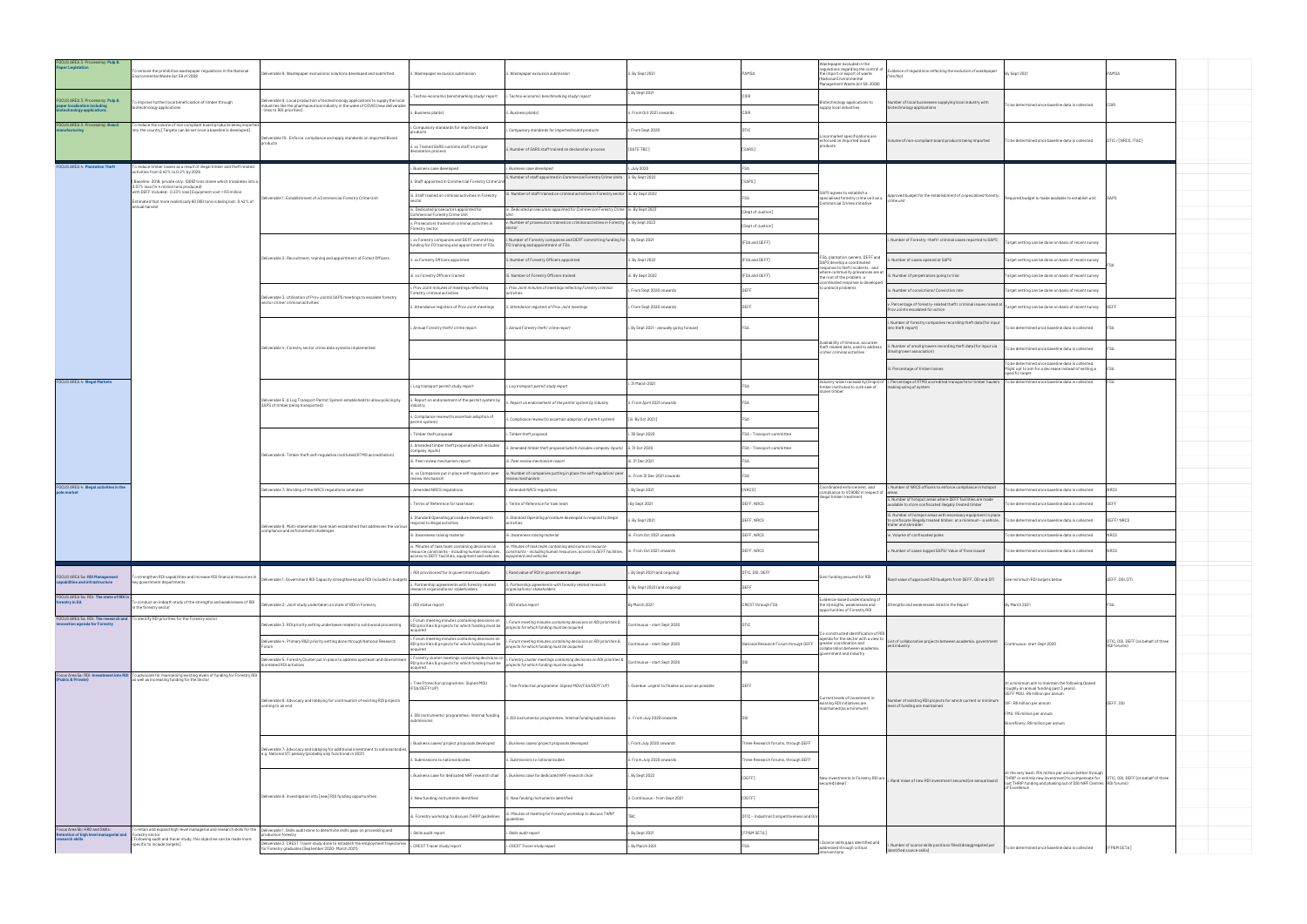| FOCUS AREA 3: Processing: Pulp &<br>Paper Legislation                                       | o remove the prohibitive wastepaper regulations in the National<br>nvironmental Waste Act 59 of 2008                                                            | leliverable 8: Wastepaper exclusions/ solutions developed and submitted                                                                                                                             | . Wastepaper exclusion submission                                                                                   | i. Wastepaper exclusion submission                                                                                                                                                                                                                                   | ii. By Sept 2021                                  | PAMSA                                     | Wastepaper excluded in the<br>requlations regarding the control of<br>the import or export of waste<br>(National Environmental<br>Management Waste Act 59, 2008] | vidence of regulations reflecting the exclusion of wastepaper<br>Yes/Nol                                                                                                      | By Sept 2021                                                                                                                                                                                                              | PAMSA                                              |  |
|---------------------------------------------------------------------------------------------|-----------------------------------------------------------------------------------------------------------------------------------------------------------------|-----------------------------------------------------------------------------------------------------------------------------------------------------------------------------------------------------|---------------------------------------------------------------------------------------------------------------------|----------------------------------------------------------------------------------------------------------------------------------------------------------------------------------------------------------------------------------------------------------------------|---------------------------------------------------|-------------------------------------------|------------------------------------------------------------------------------------------------------------------------------------------------------------------|-------------------------------------------------------------------------------------------------------------------------------------------------------------------------------|---------------------------------------------------------------------------------------------------------------------------------------------------------------------------------------------------------------------------|----------------------------------------------------|--|
| FOCUS AREA 3: Processing: Pulp &<br>paper localisation includin<br>otechnology applications | To improve further local beneficiation of timber through<br>iotechnology applications                                                                           | Deliverable 9: Local production of biotechnology applications to supply the local<br>ndustries like the pharmaceutical industry in the wake of COVID (new deliverable<br>- links to RDI priorities) | Techno-economic benchmarking study/report<br>Business plan(s)                                                       | Techno-economic benchmarking study/report<br>i. Business plan(s)                                                                                                                                                                                                     | . By Sept 2021<br>i. From Oct 2021 onwards        |                                           | otechnology applications to<br>supply local industries.                                                                                                          | lumber of local businesses supplying local industry with<br>echnology applications                                                                                            | To be determined once baseline data is collected                                                                                                                                                                          |                                                    |  |
| FOCUS AREA 3: Processing: Board<br>nufacturing                                              | o reduce the volume of non compliant board products being importe<br>nto the country [Targets can be set once a baseline is developed]                          |                                                                                                                                                                                                     | Compulsory standards for imported board                                                                             | . Compulsory standards for imported board products                                                                                                                                                                                                                   | . From Sept 2020                                  | <b>DTIC</b>                               |                                                                                                                                                                  |                                                                                                                                                                               |                                                                                                                                                                                                                           |                                                    |  |
|                                                                                             |                                                                                                                                                                 | Deliverable 10: Enforce compliance and apply standards on imported Board<br>products                                                                                                                | xx Trained SARS customs staff on proper<br>declaration process                                                      | Number of SARS staff trained on declaration process                                                                                                                                                                                                                  | [DATE TBC]                                        | [SARS]                                    | Local market specifications are<br>enforced on Imported board<br>products                                                                                        | olume of non-compliant board products being imported                                                                                                                          | To be determined once baseline data is collected                                                                                                                                                                          | DTIC / [NRCS, ITAC]                                |  |
| <b>FOCUS AREA 4: Plantation Theft</b>                                                       | To reduce timber losses as a result of illegal timber and theft related<br>tivities from 0.42% to 0.2% by 2026                                                  |                                                                                                                                                                                                     | i. Business case developed                                                                                          | i. Business case developed                                                                                                                                                                                                                                           | . July 2020                                       | $FS\Delta$                                |                                                                                                                                                                  |                                                                                                                                                                               |                                                                                                                                                                                                                           |                                                    |  |
|                                                                                             | [Baseline: 2018: private only: 10083 tons stolen which translates into a                                                                                        |                                                                                                                                                                                                     | Staff appointed in Commercial Forestry Crime U                                                                      | . Number of staff appointed in Commercial Forestry Crime Units  ii. By Sept 2022                                                                                                                                                                                     |                                                   | [SAPS]                                    |                                                                                                                                                                  |                                                                                                                                                                               |                                                                                                                                                                                                                           |                                                    |  |
|                                                                                             | 0.07% loss (14.4 million tons produced)<br>with DEFF included: 0.23% loss] Equipment cost = R3 million                                                          | leliverable 1: Establishment of a Commercial Forestry Crime Unit                                                                                                                                    | iii. Staff trained on criminal activities in Forestry                                                               | ii. Number of staff trained on criminal activities in Forestry sector iii. By Sept 2022                                                                                                                                                                              |                                                   |                                           | SAPS agrees to establish a<br>specialised forestry crime unit as a                                                                                               | Approved budget for the establishment of a specialised forestry                                                                                                               | Required budget is made available to establish unit                                                                                                                                                                       |                                                    |  |
|                                                                                             | Estimated that more realistically 60 000 tons is being lost: 0.42% of<br>annual harvest                                                                         |                                                                                                                                                                                                     | iv. Dedicated prosecutors appointed for                                                                             | v. Dedicated prosecutors appointed for Commercial Forestry Crime vv. By Sept 2023                                                                                                                                                                                    |                                                   | [Dept of Justice]                         | nmercial Crimes initiative                                                                                                                                       | crime unit                                                                                                                                                                    |                                                                                                                                                                                                                           |                                                    |  |
|                                                                                             |                                                                                                                                                                 |                                                                                                                                                                                                     | ommercial Forestry Crime Unit<br>Prosecutors trained on criminal activities in                                      | v. Number of prosecutors trained on criminal activities in Forestry v. By Sept 2023                                                                                                                                                                                  |                                                   | [Dept of Justice]                         |                                                                                                                                                                  |                                                                                                                                                                               |                                                                                                                                                                                                                           |                                                    |  |
|                                                                                             |                                                                                                                                                                 |                                                                                                                                                                                                     | orestry sector<br>xx Forestry companies and DEFF committing.<br>unding for FO training and appointment of FOs       | Number of Forestry companies and DEFF committing funding for i. By Sept 2021<br>O training and appointment of FOs                                                                                                                                                    |                                                   | {FSA and DEFF}                            |                                                                                                                                                                  | . Number of Forestry -theft/ criminal cases reported to SAPS                                                                                                                  | arget setting can be done on basis of recent survey                                                                                                                                                                       |                                                    |  |
|                                                                                             |                                                                                                                                                                 | Deliverable 2: Recruitment, training and appointment of Forest Officers                                                                                                                             | . xx Forestry Officers appointed                                                                                    | . Number of Forestry Officers appointed                                                                                                                                                                                                                              | ii. By Sept 2022                                  | {FSA and DEFF}                            | FSA, plantation owners, DEFF and<br>SAPS develop a coordinated                                                                                                   | Number of cases opened at SAPS                                                                                                                                                | Target setting can be done on basis of recent survey                                                                                                                                                                      |                                                    |  |
|                                                                                             |                                                                                                                                                                 |                                                                                                                                                                                                     | i. xx Forestry Officers trained                                                                                     | . Number of Forestry Officers trained                                                                                                                                                                                                                                | ii. By Sept 2022                                  | {FSA and DEFF}                            | response to theft incidents - and<br>where community grievances are at<br>the root of the problem, a                                                             | ii. Number of perpetrators going to trial                                                                                                                                     | Target setting can be done on basis of recent survey                                                                                                                                                                      |                                                    |  |
|                                                                                             |                                                                                                                                                                 |                                                                                                                                                                                                     | . Prov Joint minutes of meetings reflecting<br>prestry criminal activities                                          | . Prov Joint minutes of meetings reflecting Forestry criminal<br>activities                                                                                                                                                                                          | From Sept 2020 onwards                            | DEEE                                      | oordinated response is develop<br>to unblock problems                                                                                                            | Number of convictions/ Conviction rate                                                                                                                                        | Target setting can be done on basis of recent survey                                                                                                                                                                      |                                                    |  |
|                                                                                             |                                                                                                                                                                 | Deliverable 3: Utilisation of Prov Joints) SAPS meetings to escalate forestry<br>sector crime/ criminal activities                                                                                  | Attendance registers of Prov Joint meetings                                                                         | Attendance registers of Prov Joint meetings                                                                                                                                                                                                                          | From Sept 2020 onwards                            | DEFF                                      |                                                                                                                                                                  | . Percentage of forestry-related theft/ criminal issues raised a                                                                                                              | Target setting can be done on basis of recent survey                                                                                                                                                                      | <b>OEFF</b>                                        |  |
|                                                                                             |                                                                                                                                                                 |                                                                                                                                                                                                     |                                                                                                                     |                                                                                                                                                                                                                                                                      |                                                   |                                           |                                                                                                                                                                  | Prov Joints escalated for action                                                                                                                                              |                                                                                                                                                                                                                           |                                                    |  |
|                                                                                             |                                                                                                                                                                 |                                                                                                                                                                                                     | Annual Forestry theft/ crime report                                                                                 | . Annual Forestry theft/ crime report                                                                                                                                                                                                                                | . By Sept 2021 - annually going forward           |                                           | vailability of timeous, accurate                                                                                                                                 | Number of forestry companies recording theft data (for input<br>into theft report)                                                                                            | To be determined once baseline data is collected                                                                                                                                                                          |                                                    |  |
|                                                                                             |                                                                                                                                                                 | Deliverable 4: Forestry sector crime data systems implemented                                                                                                                                       |                                                                                                                     |                                                                                                                                                                                                                                                                      |                                                   |                                           | theft related data, used to address<br>crime/ criminal activities:                                                                                               | . Number of small growers recording theft data (for input via<br>Small grower association)                                                                                    | To be determined once baseline data is collected                                                                                                                                                                          |                                                    |  |
|                                                                                             |                                                                                                                                                                 |                                                                                                                                                                                                     |                                                                                                                     |                                                                                                                                                                                                                                                                      |                                                   |                                           |                                                                                                                                                                  | ii. Percentage of timber losses                                                                                                                                               | To be determined once baseline data is collected.<br>Might opt to aim for a decrease instead of setting a<br>specific target                                                                                              |                                                    |  |
| FOCUS AREA 4: Illegal Markets                                                               |                                                                                                                                                                 |                                                                                                                                                                                                     | . Log transport permit study report                                                                                 | Log transport permit study report                                                                                                                                                                                                                                    | 31 March 2021                                     |                                           | timber instituted to curb sale of<br>stolen timber                                                                                                               | Industry-wide traceability (Origin) of i. Percentage of RTMS accredited transporters/timber haulers Tobe determined once baseline data is collected<br>making using of system |                                                                                                                                                                                                                           | FS∆                                                |  |
|                                                                                             |                                                                                                                                                                 | leliverable 5: A Log Transport Permit System established (to allow policing by<br>SAPS of timber being transported)                                                                                 | Report on endorsement of the permit system by                                                                       | . Report on endorsement of the permit system by industry                                                                                                                                                                                                             | ii. From April 2021 onwards                       |                                           |                                                                                                                                                                  |                                                                                                                                                                               |                                                                                                                                                                                                                           |                                                    |  |
|                                                                                             |                                                                                                                                                                 |                                                                                                                                                                                                     | . Compliance review (to ascertain adoption of<br>ermit system)                                                      | . Compliance review (to ascertain adoption of permit system)                                                                                                                                                                                                         | [iii. By Oct 2021]                                |                                           |                                                                                                                                                                  |                                                                                                                                                                               |                                                                                                                                                                                                                           |                                                    |  |
|                                                                                             |                                                                                                                                                                 |                                                                                                                                                                                                     | Timber theft proposa                                                                                                | Timber theft proposal                                                                                                                                                                                                                                                | 30 Sept 2020                                      | FSA - Transport committee                 |                                                                                                                                                                  |                                                                                                                                                                               |                                                                                                                                                                                                                           |                                                    |  |
|                                                                                             |                                                                                                                                                                 |                                                                                                                                                                                                     | . Amended timber theft proposal (which includes<br>ompany inputs)                                                   | i. Amended timber theft proposal(which includes company inputs) ii. 31 Oct 2020                                                                                                                                                                                      |                                                   | FSA - Transport committee                 |                                                                                                                                                                  |                                                                                                                                                                               |                                                                                                                                                                                                                           |                                                    |  |
|                                                                                             |                                                                                                                                                                 | Deliverable 6: Timber theft self-regulation instituted (RTMS accreditation)                                                                                                                         | i. Peer review mechanism report                                                                                     | ii. Peer review mechanism report                                                                                                                                                                                                                                     | iii. 31 Dec 2021                                  |                                           |                                                                                                                                                                  |                                                                                                                                                                               |                                                                                                                                                                                                                           |                                                    |  |
|                                                                                             |                                                                                                                                                                 |                                                                                                                                                                                                     | v. xx Companies put in place self regulation/ peer<br>eview mechanism                                               | iv. Number of companies putting in place the self regulation/ peer<br>review mechanism                                                                                                                                                                               | From 31 Dec 2021 onwards                          |                                           |                                                                                                                                                                  |                                                                                                                                                                               |                                                                                                                                                                                                                           |                                                    |  |
| FOCUS AREA 4: Illegal activities in the<br>ole market                                       |                                                                                                                                                                 | Deliverable 7: Wording of the NRCS regulations amended                                                                                                                                              | . Amended NRCS regulations                                                                                          | i. Amended NRCS regulations                                                                                                                                                                                                                                          | . By Sept 2021                                    | NRCS]                                     | Coordinated enforcement, and<br>ompliance to VC9092 in respect of areas                                                                                          | i. Number of NRCS officers to enforce compliance in hotspot                                                                                                                   | o be determined once baseline data is collected                                                                                                                                                                           | <b>NRCS</b>                                        |  |
|                                                                                             |                                                                                                                                                                 |                                                                                                                                                                                                     | Terms of Reference for task team                                                                                    | . Terms of Reference for task team                                                                                                                                                                                                                                   | i By Sept 2021                                    | DEFF, NRCS                                | legal timber treatment                                                                                                                                           | i. Number of hotspot areas where DEFF facilities are made<br>wailable to store confiscated illegally treated timber                                                           | be determined once baseline data is collected                                                                                                                                                                             | DEEE                                               |  |
|                                                                                             |                                                                                                                                                                 |                                                                                                                                                                                                     | . Standard Operating procedure developed to<br>spond to illegal activities                                          | ii. Standard Operating procedure developed to respond to illegal<br>activities                                                                                                                                                                                       | i. By Sept 2021                                   | DEFF, NRCS                                |                                                                                                                                                                  | iii. Number of hotspot areas with necessary equipment in place<br>to confiscate illegally treated timber: at a minimum - a vehicle,<br>trailer and shredder                   | To be determined once baseline data is collected                                                                                                                                                                          | DEFF/NRCS                                          |  |
|                                                                                             |                                                                                                                                                                 | Deliverable 8: Multi-stakeholder task team established that addresses the various<br>compliance and enforcement challenges                                                                          | i. Awareness raising material                                                                                       | iii. Awareness raising material                                                                                                                                                                                                                                      | ii: From Oct 2021 onwards                         | DEFF, NRCS                                |                                                                                                                                                                  | . Volume of confiscated poles                                                                                                                                                 | To be determined once baseline data is collected                                                                                                                                                                          | NRCS                                               |  |
|                                                                                             |                                                                                                                                                                 |                                                                                                                                                                                                     | $access to DEFF facilities, equipment and vehicles \qquad \qquad \qquad \textit{equipment} and vehicles$            | v. Minutes of task team containing decisions on $\quad$ iv. Minutes of task team containing decisions on resource<br>resource constraints - including human resources, constraints - including human resources, access to DEFF facilities, iv: From Oct 2021 onwards |                                                   | DEFF, NRCS                                |                                                                                                                                                                  | . Number of cases logged SAPS/ Value of fines issued                                                                                                                          | To be determined once baseline data is collected                                                                                                                                                                          | <b>NRCS</b>                                        |  |
| FOCUS AREA 5a: RDI Management                                                               |                                                                                                                                                                 |                                                                                                                                                                                                     | . RDI provisioned for in government budgets                                                                         | i. Rand value of RDI in government budget                                                                                                                                                                                                                            | By Sept 2021 (and ongoing)                        | <b>ITIC, DSI, DEFF</b>                    |                                                                                                                                                                  |                                                                                                                                                                               |                                                                                                                                                                                                                           |                                                    |  |
| apabilities and infrastructure                                                              | To strengthen RDI capabilities and increase RDI financial resources in<br>key government departments                                                            | Deliverable 1: Government RDI Capacity strengthened and RDI included in budgets                                                                                                                     | i. Partnership agreements with forestry related<br>research organisations/ stakeholders                             | ii. Partnership agreements with forestry related research<br>organisations/stakeholders                                                                                                                                                                              | i. By Sept 2022 (and ongoing)                     |                                           | Govt funding secured for RDI                                                                                                                                     | and value of approved RDI budgets from DEFF, DSI and DTI                                                                                                                      | See minimum RDI targets below                                                                                                                                                                                             | DEFF, DSI, DTI                                     |  |
| FOCUS AREA 5a: RDI: The state of RDI in<br>forestry in SA                                   | conduct an indepth study of the strengths and weaknesses of RDI<br>n the forestry sector                                                                        | eliverable 2: Joint study undertaken on state of RDI in Forestry                                                                                                                                    | i. RDI status report                                                                                                | i. RDI status report                                                                                                                                                                                                                                                 | By March 2021                                     | CREST through FSA                         | Evidence-based understanding of<br>the strengths, weaknesses and<br>opportunities of Forestry RDI                                                                | trengths and weaknesses listed in the Report                                                                                                                                  | By March 2021                                                                                                                                                                                                             | FSA                                                |  |
| innovation agenda for Forestry                                                              | FOCUS AREA 5a: RDI: The research and To identify RDI priorities for the Forestry sector                                                                         | Deliverable 3: RDI priority setting undertaken related to solid wood processing                                                                                                                     | i. Forum meeting minutes containing decisions on<br>RDI priorities & projects for which funding must be<br>cauired  | . Forum meeting minutes containing decisions on RDI priorities &<br>ojects for which funding must be acquired                                                                                                                                                        | ontinuous - start Sept 2020                       | ntic.                                     |                                                                                                                                                                  |                                                                                                                                                                               |                                                                                                                                                                                                                           |                                                    |  |
|                                                                                             |                                                                                                                                                                 | Jeliverable 4: Primary R&D priority setting done through National Research                                                                                                                          | i. Forum meeting minutes containing decisions on<br>RDI priorities & projects for which funding must be<br>acquired | . Forum meeting minutes containing decisions on RDI priorities &<br>rojects for which funding must be acquired                                                                                                                                                       | tinuous - start Sept 2020                         | National Research Forum through DEFF      | o-constructed identification of RD<br>agenda for the sector with a view to<br>preater coordination and<br>collaboration between academia,                        | List of collaborative projects between academia, government<br>and industry                                                                                                   | Continuous- start Sept 2020                                                                                                                                                                                               | DTIC, DSI, DEFF (on behalf of three<br>RDI forums) |  |
|                                                                                             |                                                                                                                                                                 | Deliverable 5: Forestry Cluster put in place to address upstream and downstream<br>iorelated RDI activities                                                                                         | RDI priorities & projects for which funding must be<br>acquired                                                     | $\overline{.}$ Forestry cluster meetings containing decisions on $\vert_{i}$ . Forestry cluster meetings containing decisions on RDI priorities &<br>projects for which funding must be acquired                                                                     | ntinuous - start Sept 2020                        |                                           | vernment and industry                                                                                                                                            |                                                                                                                                                                               |                                                                                                                                                                                                                           |                                                    |  |
| (Public & Private)                                                                          | Focus Area 5a: RDI: Investment into RDI To advocate for maintaining existing levels of funding for Forestry RDI<br>as well as increasing funding for the Sector |                                                                                                                                                                                                     | Tree Protection programme: Signed MOU<br>(FSA/DEFF/UP)                                                              | Tree Protection programme: Signed MOU (FSA/DEFF/UP)                                                                                                                                                                                                                  | . Overdue: urgent to finalise as soon as possible | <b>DEEF</b>                               |                                                                                                                                                                  |                                                                                                                                                                               | At a minimum aim to maintain the following (based<br>roughly on annual funding past 3 years):<br>DEFF MOU: R9 million per annum                                                                                           |                                                    |  |
|                                                                                             |                                                                                                                                                                 | Deliverable 6: Advocacy and lobbying for continuation of existing RDI projects<br>coming to an end                                                                                                  | ii. DSI instruments/ programmes: Internal funding<br>ubmissions                                                     | ii. DSI instruments/ programmes: Internal funding submissions                                                                                                                                                                                                        | From July 2020 onwards                            |                                           | Current levels of investment in<br>existing RDI initiatives are<br>maintained (as a minimum)                                                                     | lumber of existing RDI projects for which current or minimum<br>level of funding are maintained                                                                               | SIF: R8 million per annum<br>FMG: R5 million per annum<br>Biorefinery: R6 million per annum                                                                                                                               | DEFF, DSI                                          |  |
|                                                                                             |                                                                                                                                                                 | Deliverable 7: Advocacy and lobbying for additional investment to national bodie                                                                                                                    | Business cases/ project proposals developed                                                                         | i. Business cases/ project proposals developed                                                                                                                                                                                                                       | From July 2020 onwards                            | Three Research forums, through DEFF       |                                                                                                                                                                  |                                                                                                                                                                               |                                                                                                                                                                                                                           |                                                    |  |
|                                                                                             |                                                                                                                                                                 | e.g. National STI plenary (probably only functional in 2021)                                                                                                                                        | Submissions to national bodies                                                                                      | . Submissions to national bodies                                                                                                                                                                                                                                     | i. From July 2020 onwards                         | hree Research forums, through DEFF        |                                                                                                                                                                  |                                                                                                                                                                               |                                                                                                                                                                                                                           |                                                    |  |
|                                                                                             |                                                                                                                                                                 |                                                                                                                                                                                                     | Business case for dedicated NRF research chair                                                                      | i. Business case for dedicated NRF research chair                                                                                                                                                                                                                    | By Sept 2022                                      | [DEFF]                                    |                                                                                                                                                                  | New investments in Forestry RDI are   i. Rand Value of new RDI investment secured (on annual basis)                                                                           | At the very least: R14 million per annum (either through<br>FHRIP or entirely new investment) to compensate for  DTIC, DSI, DEFF (on behalf of three<br>lost THRIP funding and phasing out of DSI/NRF Centres RDI forums) |                                                    |  |
|                                                                                             |                                                                                                                                                                 | Deliverable 8: Investigation into [new] RDI funding opportunities                                                                                                                                   | . New funding instruments identified                                                                                | New funding instruments identified                                                                                                                                                                                                                                   | ii. Continuous - from Sept 2021                   | [DEF]                                     |                                                                                                                                                                  |                                                                                                                                                                               | of Excellence                                                                                                                                                                                                             |                                                    |  |
|                                                                                             |                                                                                                                                                                 |                                                                                                                                                                                                     | iii. Forestry workshop to discuss THRIP guidelines                                                                  | ii. Minutes of meeting for Forestry workshop to discuss THRIP<br>uidelines                                                                                                                                                                                           |                                                   | DTIC - Industrial Competitiveness and Gro |                                                                                                                                                                  |                                                                                                                                                                               |                                                                                                                                                                                                                           |                                                    |  |
| Focus Area 5b: HRD and Skills:<br>Retention of high level managerial and<br>research skills | restry sector<br>[Following audit and tracer study, this objective can be made more                                                                             | o retain and expand high-level managerial and research skills for the Poliverable 1. Skills audit done to determine skills gaps on processing and<br>oduction forestry                              | Skills audit report                                                                                                 | i. Skills audit report                                                                                                                                                                                                                                               | i. By Sept 2021                                   | FP&M SETA]                                |                                                                                                                                                                  |                                                                                                                                                                               |                                                                                                                                                                                                                           |                                                    |  |
|                                                                                             | specific to include targets]                                                                                                                                    | Deliverable 2. CREST Tracer study done to establish the employment trajectories<br>for Forestry graduates (September 2020- March 2021)                                                              | CREST Tracer study report                                                                                           | CREST Tracer study report                                                                                                                                                                                                                                            | . By March 2021                                   |                                           | i.Scarce skills gaps identified and<br>addressed through critical<br>interventions                                                                               | Number of scarce skills positions filled (disaggregated per<br>identified scarce skills)                                                                                      | To be determined once baseline data is collected                                                                                                                                                                          | [FP&M SETA]                                        |  |